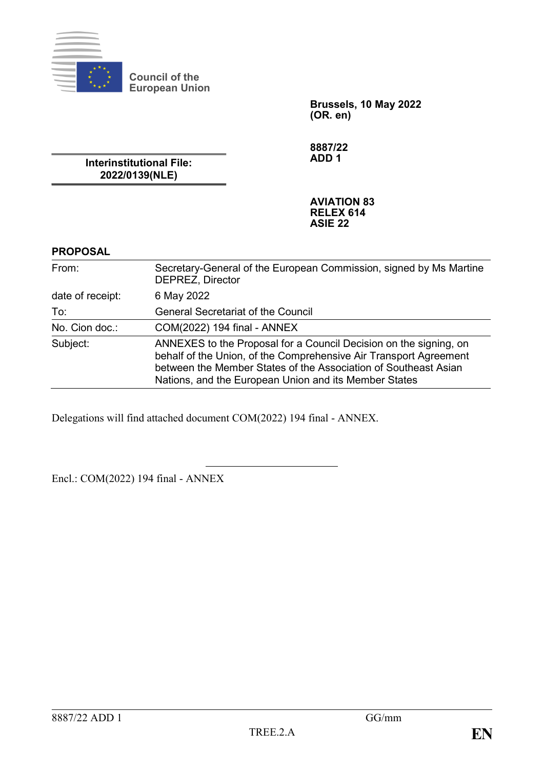

**Brussels, 10 May 2022**

**(OR. en)**

**Interinstitutional File: 2022/0139(NLE)**

**Council of the European Union**

> **8887/22 ADD 1**

# **AVIATION 83 RELEX 614 ASIE 22**

# **PROPOSAL**

| From:            | Secretary-General of the European Commission, signed by Ms Martine<br><b>DEPREZ, Director</b>                                                                                                                                                                      |
|------------------|--------------------------------------------------------------------------------------------------------------------------------------------------------------------------------------------------------------------------------------------------------------------|
| date of receipt: | 6 May 2022                                                                                                                                                                                                                                                         |
| To:              | <b>General Secretariat of the Council</b>                                                                                                                                                                                                                          |
| No. Cion doc.:   | COM(2022) 194 final - ANNEX                                                                                                                                                                                                                                        |
| Subject:         | ANNEXES to the Proposal for a Council Decision on the signing, on<br>behalf of the Union, of the Comprehensive Air Transport Agreement<br>between the Member States of the Association of Southeast Asian<br>Nations, and the European Union and its Member States |

Delegations will find attached document COM(2022) 194 final - ANNEX.

Encl.: COM(2022) 194 final - ANNEX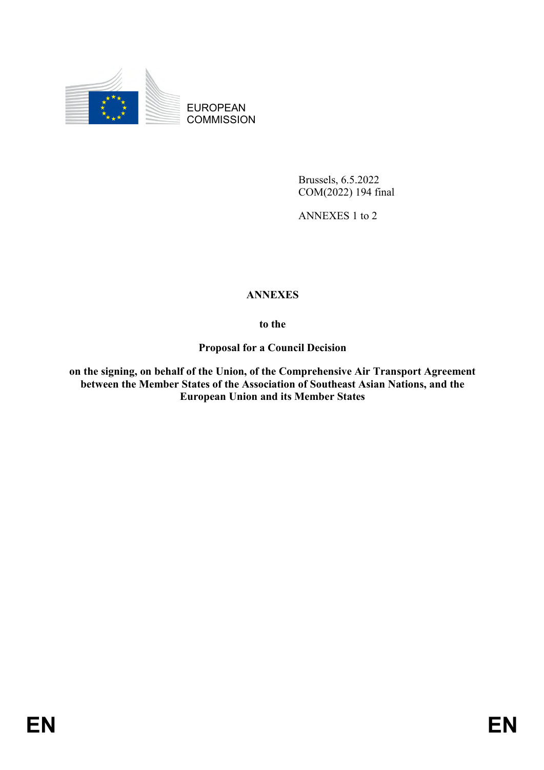

EUROPEAN **COMMISSION** 

> Brussels, 6.5.2022 COM(2022) 194 final

ANNEXES 1 to 2

# **ANNEXES**

**to the**

**Proposal for a Council Decision**

**on the signing, on behalf of the Union, of the Comprehensive Air Transport Agreement between the Member States of the Association of Southeast Asian Nations, and the European Union and its Member States**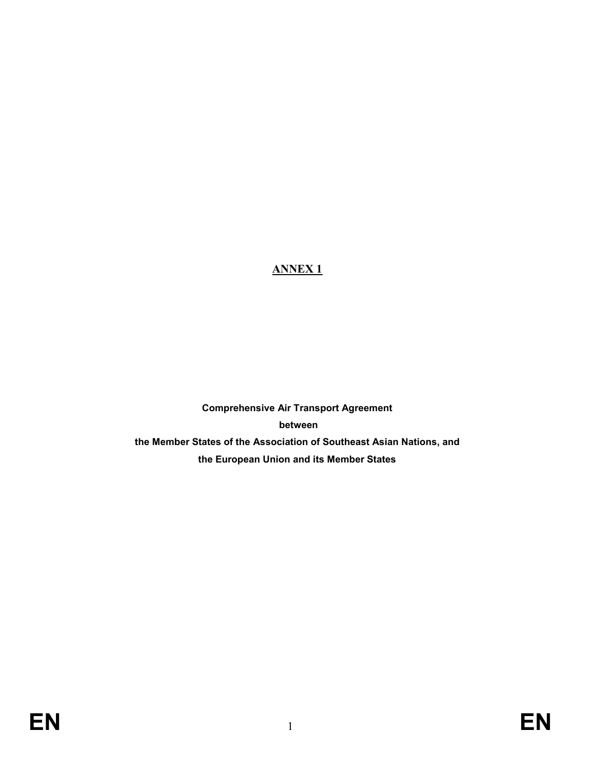# **ANNEX 1**

**Comprehensive Air Transport Agreement between the Member States of the Association of Southeast Asian Nations, and the European Union and its Member States**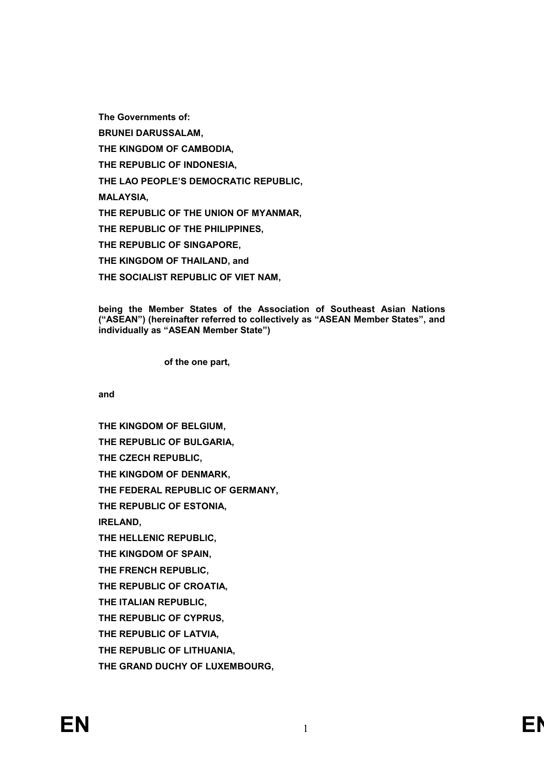**The Governments of:**

**BRUNEI DARUSSALAM,**

**THE KINGDOM OF CAMBODIA,**

**THE REPUBLIC OF INDONESIA,**

**THE LAO PEOPLE'S DEMOCRATIC REPUBLIC,**

**MALAYSIA,**

**THE REPUBLIC OF THE UNION OF MYANMAR,**

**THE REPUBLIC OF THE PHILIPPINES,**

**THE REPUBLIC OF SINGAPORE,**

**THE KINGDOM OF THAILAND, and**

**THE SOCIALIST REPUBLIC OF VIET NAM,**

**being the Member States of the Association of Southeast Asian Nations ("ASEAN") (hereinafter referred to collectively as "ASEAN Member States", and individually as "ASEAN Member State")**

**of the one part,**

**and**

**THE KINGDOM OF BELGIUM, THE REPUBLIC OF BULGARIA, THE CZECH REPUBLIC, THE KINGDOM OF DENMARK, THE FEDERAL REPUBLIC OF GERMANY, THE REPUBLIC OF ESTONIA, IRELAND, THE HELLENIC REPUBLIC, THE KINGDOM OF SPAIN, THE FRENCH REPUBLIC, THE REPUBLIC OF CROATIA, THE ITALIAN REPUBLIC, THE REPUBLIC OF CYPRUS, THE REPUBLIC OF LATVIA, THE REPUBLIC OF LITHUANIA, THE GRAND DUCHY OF LUXEMBOURG,**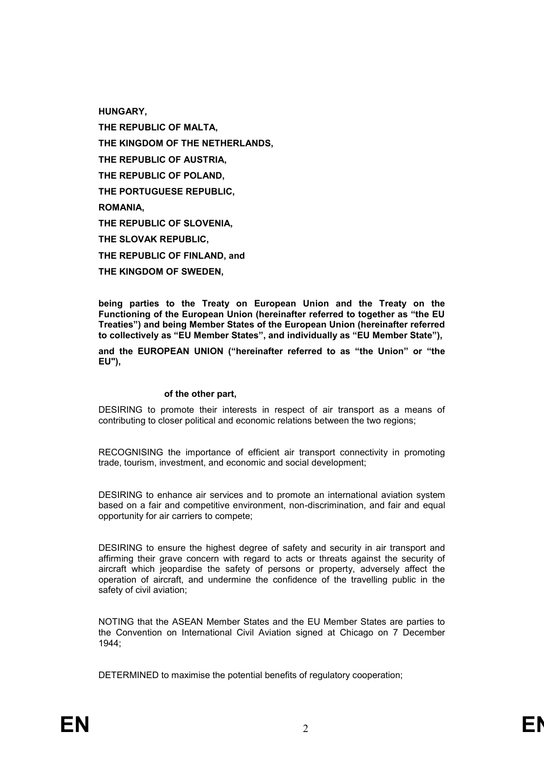**HUNGARY,**

**THE REPUBLIC OF MALTA, THE KINGDOM OF THE NETHERLANDS, THE REPUBLIC OF AUSTRIA, THE REPUBLIC OF POLAND, THE PORTUGUESE REPUBLIC, ROMANIA, THE REPUBLIC OF SLOVENIA, THE SLOVAK REPUBLIC, THE REPUBLIC OF FINLAND, and THE KINGDOM OF SWEDEN,**

**being parties to the Treaty on European Union and the Treaty on the Functioning of the European Union (hereinafter referred to together as "the EU Treaties") and being Member States of the European Union (hereinafter referred to collectively as "EU Member States", and individually as "EU Member State"),**

**and the EUROPEAN UNION ("hereinafter referred to as "the Union" or "the EU"),**

#### **of the other part,**

DESIRING to promote their interests in respect of air transport as a means of contributing to closer political and economic relations between the two regions;

RECOGNISING the importance of efficient air transport connectivity in promoting trade, tourism, investment, and economic and social development;

DESIRING to enhance air services and to promote an international aviation system based on a fair and competitive environment, non-discrimination, and fair and equal opportunity for air carriers to compete;

DESIRING to ensure the highest degree of safety and security in air transport and affirming their grave concern with regard to acts or threats against the security of aircraft which jeopardise the safety of persons or property, adversely affect the operation of aircraft, and undermine the confidence of the travelling public in the safety of civil aviation;

NOTING that the ASEAN Member States and the EU Member States are parties to the Convention on International Civil Aviation signed at Chicago on 7 December 1944;

DETERMINED to maximise the potential benefits of regulatory cooperation;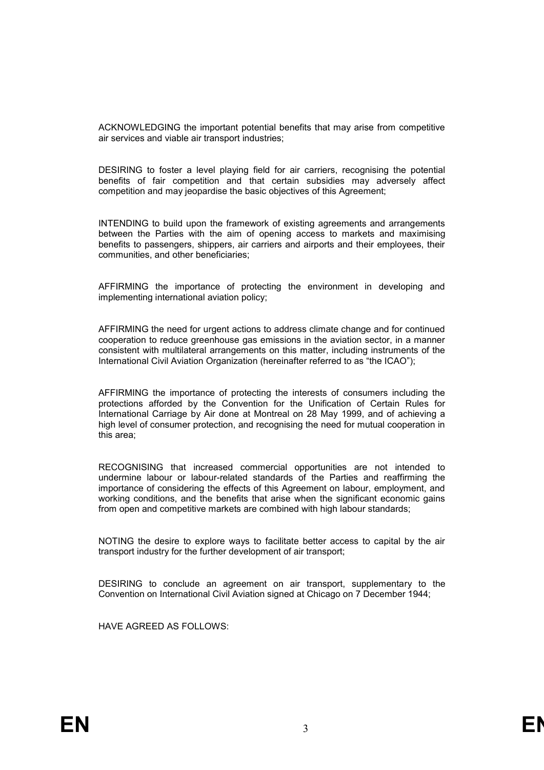ACKNOWLEDGING the important potential benefits that may arise from competitive air services and viable air transport industries;

DESIRING to foster a level playing field for air carriers, recognising the potential benefits of fair competition and that certain subsidies may adversely affect competition and may jeopardise the basic objectives of this Agreement;

INTENDING to build upon the framework of existing agreements and arrangements between the Parties with the aim of opening access to markets and maximising benefits to passengers, shippers, air carriers and airports and their employees, their communities, and other beneficiaries;

AFFIRMING the importance of protecting the environment in developing and implementing international aviation policy;

AFFIRMING the need for urgent actions to address climate change and for continued cooperation to reduce greenhouse gas emissions in the aviation sector, in a manner consistent with multilateral arrangements on this matter, including instruments of the International Civil Aviation Organization (hereinafter referred to as "the ICAO");

AFFIRMING the importance of protecting the interests of consumers including the protections afforded by the Convention for the Unification of Certain Rules for International Carriage by Air done at Montreal on 28 May 1999, and of achieving a high level of consumer protection, and recognising the need for mutual cooperation in this area;

RECOGNISING that increased commercial opportunities are not intended to undermine labour or labour-related standards of the Parties and reaffirming the importance of considering the effects of this Agreement on labour, employment, and working conditions, and the benefits that arise when the significant economic gains from open and competitive markets are combined with high labour standards;

NOTING the desire to explore ways to facilitate better access to capital by the air transport industry for the further development of air transport;

DESIRING to conclude an agreement on air transport, supplementary to the Convention on International Civil Aviation signed at Chicago on 7 December 1944;

HAVE AGREED AS FOLLOWS: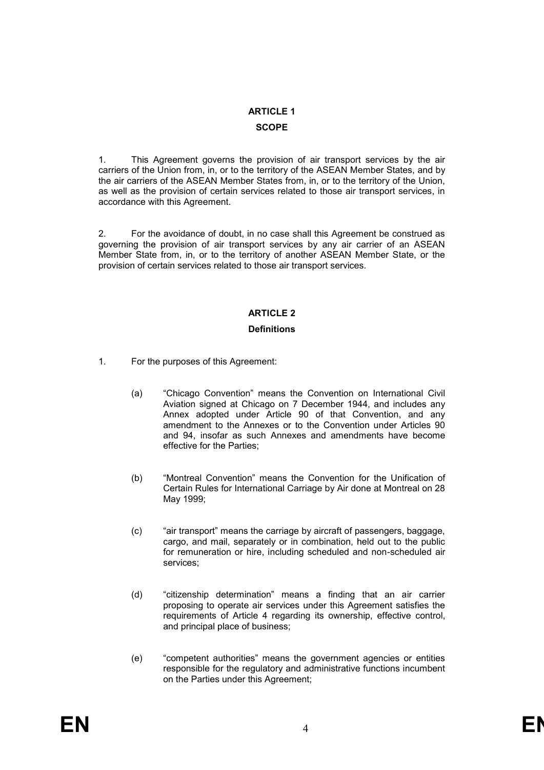# **ARTICLE 1**

# **SCOPE**

1. This Agreement governs the provision of air transport services by the air carriers of the Union from, in, or to the territory of the ASEAN Member States, and by the air carriers of the ASEAN Member States from, in, or to the territory of the Union, as well as the provision of certain services related to those air transport services, in accordance with this Agreement.

2. For the avoidance of doubt, in no case shall this Agreement be construed as governing the provision of air transport services by any air carrier of an ASEAN Member State from, in, or to the territory of another ASEAN Member State, or the provision of certain services related to those air transport services.

# **ARTICLE 2**

# **Definitions**

- 1. For the purposes of this Agreement:
	- (a) "Chicago Convention" means the Convention on International Civil Aviation signed at Chicago on 7 December 1944, and includes any Annex adopted under Article 90 of that Convention, and any amendment to the Annexes or to the Convention under Articles 90 and 94, insofar as such Annexes and amendments have become effective for the Parties;
	- (b) "Montreal Convention" means the Convention for the Unification of Certain Rules for International Carriage by Air done at Montreal on 28 May 1999;
	- (c) "air transport" means the carriage by aircraft of passengers, baggage, cargo, and mail, separately or in combination, held out to the public for remuneration or hire, including scheduled and non-scheduled air services;
	- (d) "citizenship determination" means a finding that an air carrier proposing to operate air services under this Agreement satisfies the requirements of Article 4 regarding its ownership, effective control, and principal place of business;
	- (e) "competent authorities" means the government agencies or entities responsible for the regulatory and administrative functions incumbent on the Parties under this Agreement;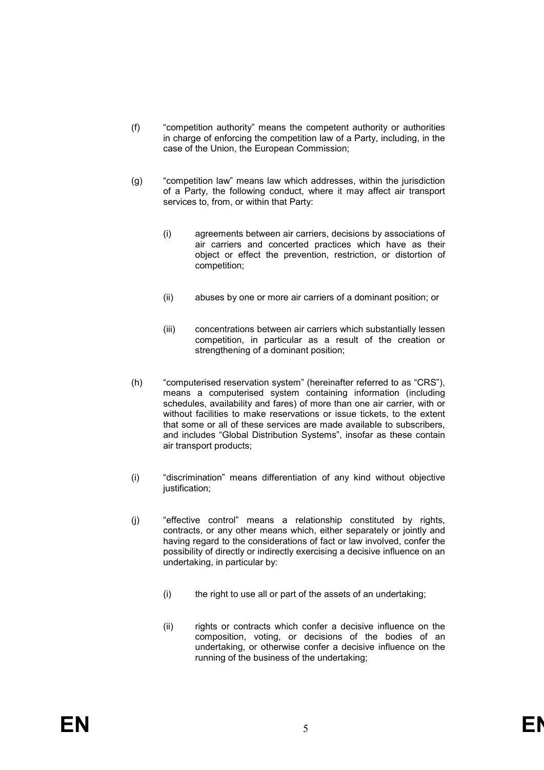- (f) "competition authority" means the competent authority or authorities in charge of enforcing the competition law of a Party, including, in the case of the Union, the European Commission;
- (g) "competition law" means law which addresses, within the jurisdiction of a Party, the following conduct, where it may affect air transport services to, from, or within that Party:
	- (i) agreements between air carriers, decisions by associations of air carriers and concerted practices which have as their object or effect the prevention, restriction, or distortion of competition;
	- (ii) abuses by one or more air carriers of a dominant position; or
	- (iii) concentrations between air carriers which substantially lessen competition, in particular as a result of the creation or strengthening of a dominant position;
- (h) "computerised reservation system" (hereinafter referred to as "CRS"), means a computerised system containing information (including schedules, availability and fares) of more than one air carrier, with or without facilities to make reservations or issue tickets, to the extent that some or all of these services are made available to subscribers, and includes "Global Distribution Systems", insofar as these contain air transport products;
- (i) "discrimination" means differentiation of any kind without objective justification;
- (j) "effective control" means a relationship constituted by rights, contracts, or any other means which, either separately or jointly and having regard to the considerations of fact or law involved, confer the possibility of directly or indirectly exercising a decisive influence on an undertaking, in particular by:
	- (i) the right to use all or part of the assets of an undertaking;
	- (ii) rights or contracts which confer a decisive influence on the composition, voting, or decisions of the bodies of an undertaking, or otherwise confer a decisive influence on the running of the business of the undertaking;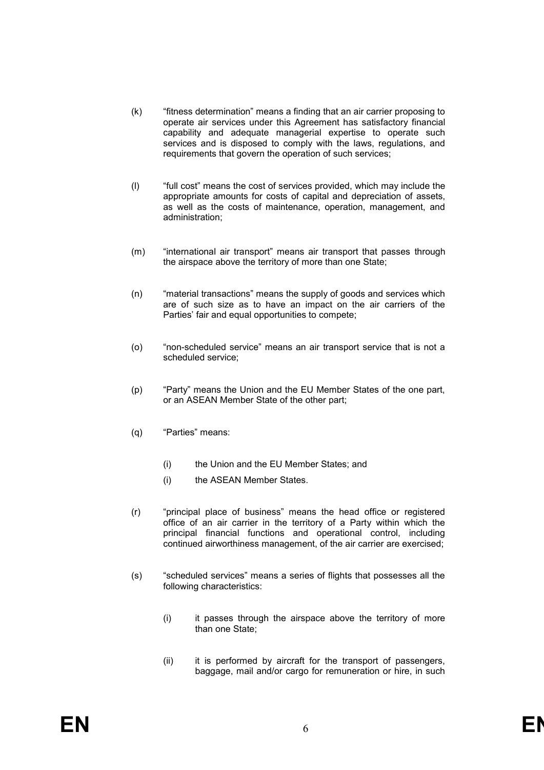- (k) "fitness determination" means a finding that an air carrier proposing to operate air services under this Agreement has satisfactory financial capability and adequate managerial expertise to operate such services and is disposed to comply with the laws, regulations, and requirements that govern the operation of such services;
- (l) "full cost" means the cost of services provided, which may include the appropriate amounts for costs of capital and depreciation of assets, as well as the costs of maintenance, operation, management, and administration;
- (m) "international air transport" means air transport that passes through the airspace above the territory of more than one State;
- (n) "material transactions" means the supply of goods and services which are of such size as to have an impact on the air carriers of the Parties' fair and equal opportunities to compete;
- (o) "non-scheduled service" means an air transport service that is not a scheduled service;
- (p) "Party" means the Union and the EU Member States of the one part, or an ASEAN Member State of the other part;
- (q) "Parties" means:
	- (i) the Union and the EU Member States; and
	- (i) the ASEAN Member States.
- (r) "principal place of business" means the head office or registered office of an air carrier in the territory of a Party within which the principal financial functions and operational control, including continued airworthiness management, of the air carrier are exercised;
- (s) "scheduled services" means a series of flights that possesses all the following characteristics:
	- (i) it passes through the airspace above the territory of more than one State;
	- (ii) it is performed by aircraft for the transport of passengers, baggage, mail and/or cargo for remuneration or hire, in such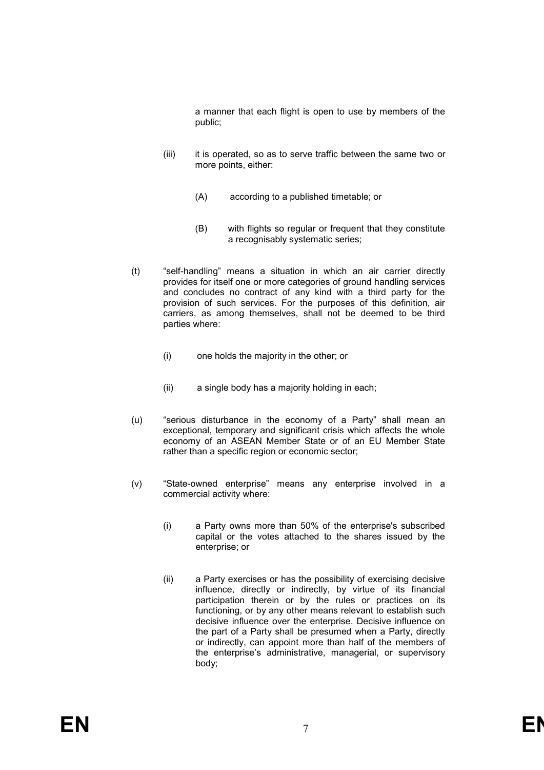a manner that each flight is open to use by members of the public;

- (iii) it is operated, so as to serve traffic between the same two or more points, either:
	- (A) according to a published timetable; or
	- (B) with flights so regular or frequent that they constitute a recognisably systematic series;
- (t) "self-handling" means a situation in which an air carrier directly provides for itself one or more categories of ground handling services and concludes no contract of any kind with a third party for the provision of such services. For the purposes of this definition, air carriers, as among themselves, shall not be deemed to be third parties where:
	- (i) one holds the majority in the other; or
	- (ii) a single body has a majority holding in each;
- (u) "serious disturbance in the economy of a Party" shall mean an exceptional, temporary and significant crisis which affects the whole economy of an ASEAN Member State or of an EU Member State rather than a specific region or economic sector;
- (v) "State-owned enterprise" means any enterprise involved in a commercial activity where:
	- (i) a Party owns more than 50% of the enterprise's subscribed capital or the votes attached to the shares issued by the enterprise; or
	- (ii) a Party exercises or has the possibility of exercising decisive influence, directly or indirectly, by virtue of its financial participation therein or by the rules or practices on its functioning, or by any other means relevant to establish such decisive influence over the enterprise. Decisive influence on the part of a Party shall be presumed when a Party, directly or indirectly, can appoint more than half of the members of the enterprise's administrative, managerial, or supervisory body;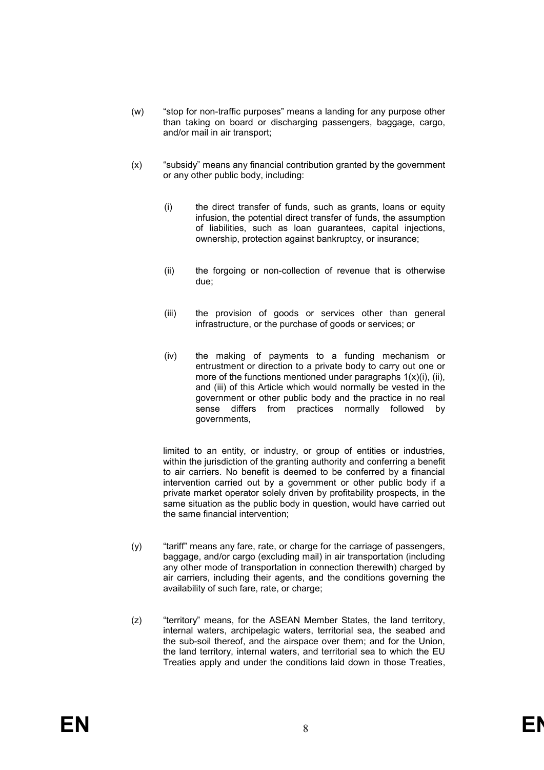- (w) "stop for non-traffic purposes" means a landing for any purpose other than taking on board or discharging passengers, baggage, cargo, and/or mail in air transport;
- (x) "subsidy" means any financial contribution granted by the government or any other public body, including:
	- (i) the direct transfer of funds, such as grants, loans or equity infusion, the potential direct transfer of funds, the assumption of liabilities, such as loan guarantees, capital injections, ownership, protection against bankruptcy, or insurance;
	- (ii) the forgoing or non-collection of revenue that is otherwise due;
	- (iii) the provision of goods or services other than general infrastructure, or the purchase of goods or services; or
	- (iv) the making of payments to a funding mechanism or entrustment or direction to a private body to carry out one or more of the functions mentioned under paragraphs  $1(x)(i)$ , (ii), and (iii) of this Article which would normally be vested in the government or other public body and the practice in no real sense differs from practices normally followed by governments,

limited to an entity, or industry, or group of entities or industries, within the jurisdiction of the granting authority and conferring a benefit to air carriers. No benefit is deemed to be conferred by a financial intervention carried out by a government or other public body if a private market operator solely driven by profitability prospects, in the same situation as the public body in question, would have carried out the same financial intervention;

- $(v)$  "tariff" means any fare, rate, or charge for the carriage of passengers, baggage, and/or cargo (excluding mail) in air transportation (including any other mode of transportation in connection therewith) charged by air carriers, including their agents, and the conditions governing the availability of such fare, rate, or charge;
- (z) "territory" means, for the ASEAN Member States, the land territory, internal waters, archipelagic waters, territorial sea, the seabed and the sub-soil thereof, and the airspace over them; and for the Union, the land territory, internal waters, and territorial sea to which the EU Treaties apply and under the conditions laid down in those Treaties,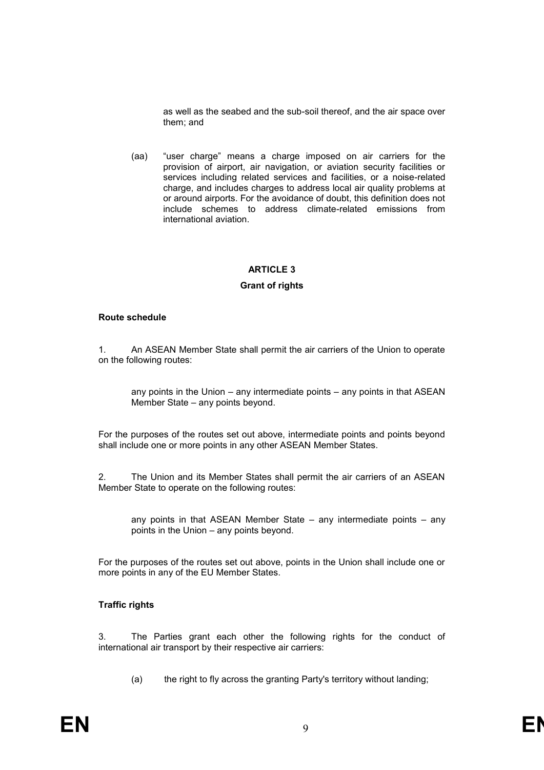as well as the seabed and the sub-soil thereof, and the air space over them; and

(aa) "user charge" means a charge imposed on air carriers for the provision of airport, air navigation, or aviation security facilities or services including related services and facilities, or a noise-related charge, and includes charges to address local air quality problems at or around airports. For the avoidance of doubt, this definition does not include schemes to address climate-related emissions from international aviation.

# **ARTICLE 3**

# **Grant of rights**

#### **Route schedule**

1. An ASEAN Member State shall permit the air carriers of the Union to operate on the following routes:

any points in the Union – any intermediate points – any points in that ASEAN Member State – any points beyond.

For the purposes of the routes set out above, intermediate points and points beyond shall include one or more points in any other ASEAN Member States.

2. The Union and its Member States shall permit the air carriers of an ASEAN Member State to operate on the following routes:

any points in that ASEAN Member State – any intermediate points – any points in the Union – any points beyond.

For the purposes of the routes set out above, points in the Union shall include one or more points in any of the EU Member States.

# **Traffic rights**

3. The Parties grant each other the following rights for the conduct of international air transport by their respective air carriers:

(a) the right to fly across the granting Party's territory without landing;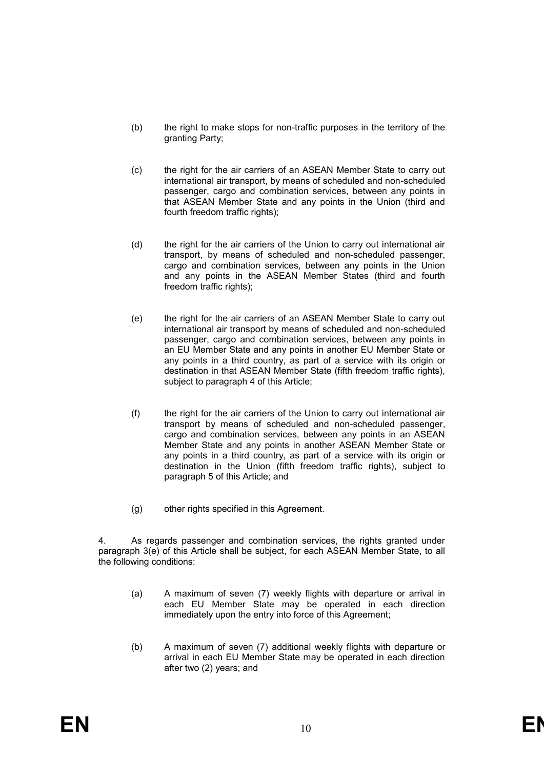- (b) the right to make stops for non-traffic purposes in the territory of the granting Party;
- (c) the right for the air carriers of an ASEAN Member State to carry out international air transport, by means of scheduled and non-scheduled passenger, cargo and combination services, between any points in that ASEAN Member State and any points in the Union (third and fourth freedom traffic rights);
- (d) the right for the air carriers of the Union to carry out international air transport, by means of scheduled and non-scheduled passenger, cargo and combination services, between any points in the Union and any points in the ASEAN Member States (third and fourth freedom traffic rights);
- (e) the right for the air carriers of an ASEAN Member State to carry out international air transport by means of scheduled and non-scheduled passenger, cargo and combination services, between any points in an EU Member State and any points in another EU Member State or any points in a third country, as part of a service with its origin or destination in that ASEAN Member State (fifth freedom traffic rights), subject to paragraph 4 of this Article;
- (f) the right for the air carriers of the Union to carry out international air transport by means of scheduled and non-scheduled passenger, cargo and combination services, between any points in an ASEAN Member State and any points in another ASEAN Member State or any points in a third country, as part of a service with its origin or destination in the Union (fifth freedom traffic rights), subject to paragraph 5 of this Article; and
- (g) other rights specified in this Agreement.

4. As regards passenger and combination services, the rights granted under paragraph 3(e) of this Article shall be subject, for each ASEAN Member State, to all the following conditions:

- (a) A maximum of seven (7) weekly flights with departure or arrival in each EU Member State may be operated in each direction immediately upon the entry into force of this Agreement;
- (b) A maximum of seven (7) additional weekly flights with departure or arrival in each EU Member State may be operated in each direction after two (2) years; and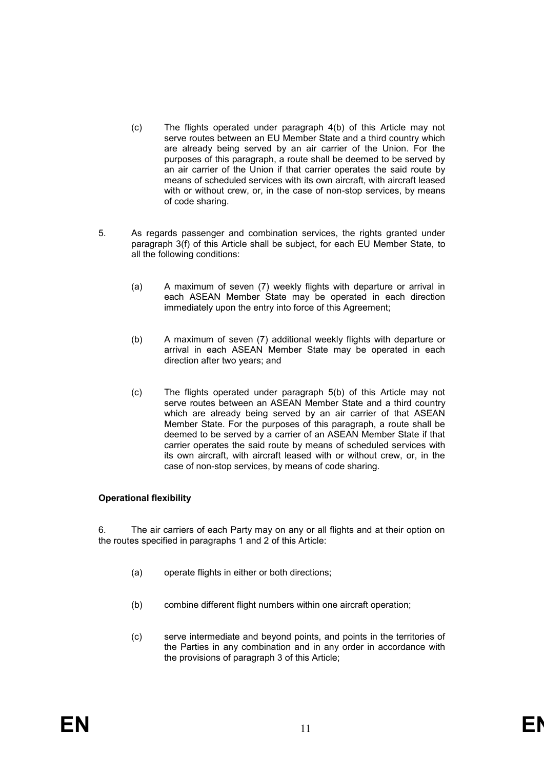- (c) The flights operated under paragraph 4(b) of this Article may not serve routes between an EU Member State and a third country which are already being served by an air carrier of the Union. For the purposes of this paragraph, a route shall be deemed to be served by an air carrier of the Union if that carrier operates the said route by means of scheduled services with its own aircraft, with aircraft leased with or without crew, or, in the case of non-stop services, by means of code sharing.
- 5. As regards passenger and combination services, the rights granted under paragraph 3(f) of this Article shall be subject, for each EU Member State, to all the following conditions:
	- (a) A maximum of seven (7) weekly flights with departure or arrival in each ASEAN Member State may be operated in each direction immediately upon the entry into force of this Agreement;
	- (b) A maximum of seven (7) additional weekly flights with departure or arrival in each ASEAN Member State may be operated in each direction after two years; and
	- (c) The flights operated under paragraph 5(b) of this Article may not serve routes between an ASEAN Member State and a third country which are already being served by an air carrier of that ASEAN Member State. For the purposes of this paragraph, a route shall be deemed to be served by a carrier of an ASEAN Member State if that carrier operates the said route by means of scheduled services with its own aircraft, with aircraft leased with or without crew, or, in the case of non-stop services, by means of code sharing.

# **Operational flexibility**

6. The air carriers of each Party may on any or all flights and at their option on the routes specified in paragraphs 1 and 2 of this Article:

- (a) operate flights in either or both directions;
- (b) combine different flight numbers within one aircraft operation;
- (c) serve intermediate and beyond points, and points in the territories of the Parties in any combination and in any order in accordance with the provisions of paragraph 3 of this Article;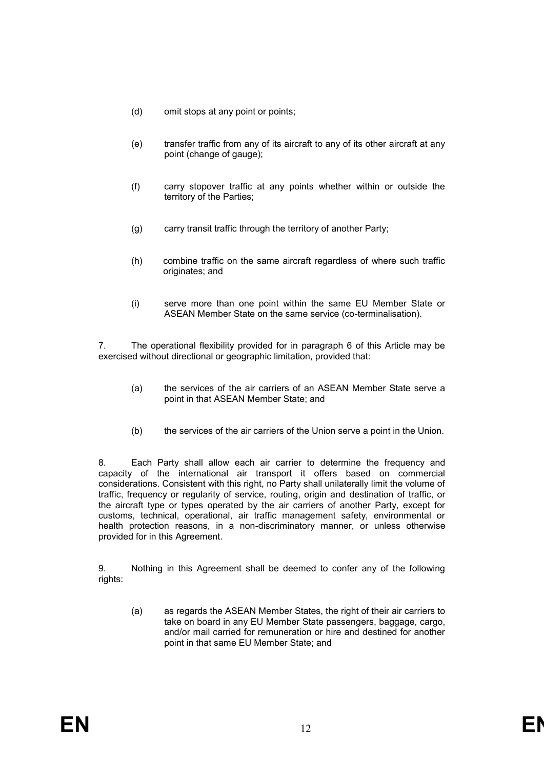- (d) omit stops at any point or points;
- (e) transfer traffic from any of its aircraft to any of its other aircraft at any point (change of gauge);
- (f) carry stopover traffic at any points whether within or outside the territory of the Parties;
- (g) carry transit traffic through the territory of another Party;
- (h) combine traffic on the same aircraft regardless of where such traffic originates; and
- (i) serve more than one point within the same EU Member State or ASEAN Member State on the same service (co-terminalisation).

7. The operational flexibility provided for in paragraph 6 of this Article may be exercised without directional or geographic limitation, provided that:

- (a) the services of the air carriers of an ASEAN Member State serve a point in that ASEAN Member State; and
- (b) the services of the air carriers of the Union serve a point in the Union.

8. Each Party shall allow each air carrier to determine the frequency and capacity of the international air transport it offers based on commercial considerations. Consistent with this right, no Party shall unilaterally limit the volume of traffic, frequency or regularity of service, routing, origin and destination of traffic, or the aircraft type or types operated by the air carriers of another Party, except for customs, technical, operational, air traffic management safety, environmental or health protection reasons, in a non-discriminatory manner, or unless otherwise provided for in this Agreement.

9. Nothing in this Agreement shall be deemed to confer any of the following rights:

(a) as regards the ASEAN Member States, the right of their air carriers to take on board in any EU Member State passengers, baggage, cargo, and/or mail carried for remuneration or hire and destined for another point in that same EU Member State; and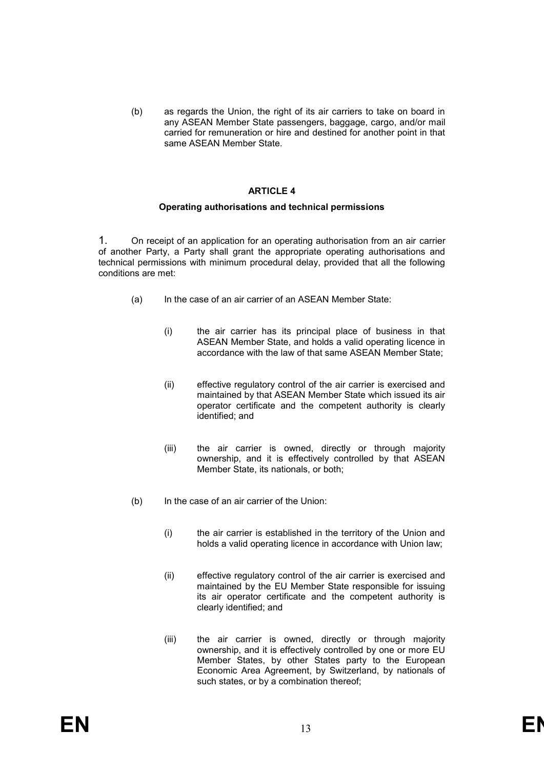(b) as regards the Union, the right of its air carriers to take on board in any ASEAN Member State passengers, baggage, cargo, and/or mail carried for remuneration or hire and destined for another point in that same ASEAN Member State.

#### **ARTICLE 4**

#### **Operating authorisations and technical permissions**

1. On receipt of an application for an operating authorisation from an air carrier of another Party, a Party shall grant the appropriate operating authorisations and technical permissions with minimum procedural delay, provided that all the following conditions are met:

- (a) In the case of an air carrier of an ASEAN Member State:
	- (i) the air carrier has its principal place of business in that ASEAN Member State, and holds a valid operating licence in accordance with the law of that same ASEAN Member State;
	- (ii) effective regulatory control of the air carrier is exercised and maintained by that ASEAN Member State which issued its air operator certificate and the competent authority is clearly identified; and
	- (iii) the air carrier is owned, directly or through majority ownership, and it is effectively controlled by that ASEAN Member State, its nationals, or both;
- (b) In the case of an air carrier of the Union:
	- (i) the air carrier is established in the territory of the Union and holds a valid operating licence in accordance with Union law;
	- (ii) effective regulatory control of the air carrier is exercised and maintained by the EU Member State responsible for issuing its air operator certificate and the competent authority is clearly identified; and
	- (iii) the air carrier is owned, directly or through majority ownership, and it is effectively controlled by one or more EU Member States, by other States party to the European Economic Area Agreement, by Switzerland, by nationals of such states, or by a combination thereof;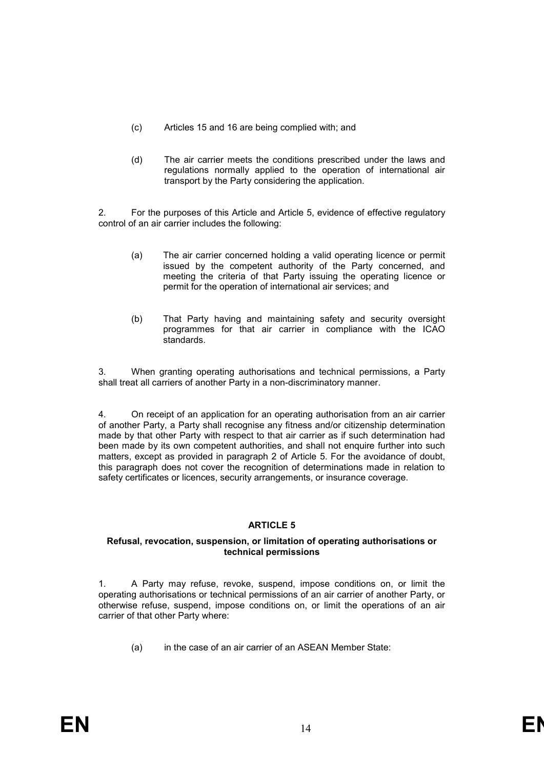- (c) Articles 15 and 16 are being complied with; and
- (d) The air carrier meets the conditions prescribed under the laws and regulations normally applied to the operation of international air transport by the Party considering the application.

2. For the purposes of this Article and Article 5, evidence of effective regulatory control of an air carrier includes the following:

- (a) The air carrier concerned holding a valid operating licence or permit issued by the competent authority of the Party concerned, and meeting the criteria of that Party issuing the operating licence or permit for the operation of international air services; and
- (b) That Party having and maintaining safety and security oversight programmes for that air carrier in compliance with the ICAO standards.

3. When granting operating authorisations and technical permissions, a Party shall treat all carriers of another Party in a non-discriminatory manner.

4. On receipt of an application for an operating authorisation from an air carrier of another Party, a Party shall recognise any fitness and/or citizenship determination made by that other Party with respect to that air carrier as if such determination had been made by its own competent authorities, and shall not enquire further into such matters, except as provided in paragraph 2 of Article 5. For the avoidance of doubt, this paragraph does not cover the recognition of determinations made in relation to safety certificates or licences, security arrangements, or insurance coverage.

# **ARTICLE 5**

# **Refusal, revocation, suspension, or limitation of operating authorisations or technical permissions**

1. A Party may refuse, revoke, suspend, impose conditions on, or limit the operating authorisations or technical permissions of an air carrier of another Party, or otherwise refuse, suspend, impose conditions on, or limit the operations of an air carrier of that other Party where:

(a) in the case of an air carrier of an ASEAN Member State: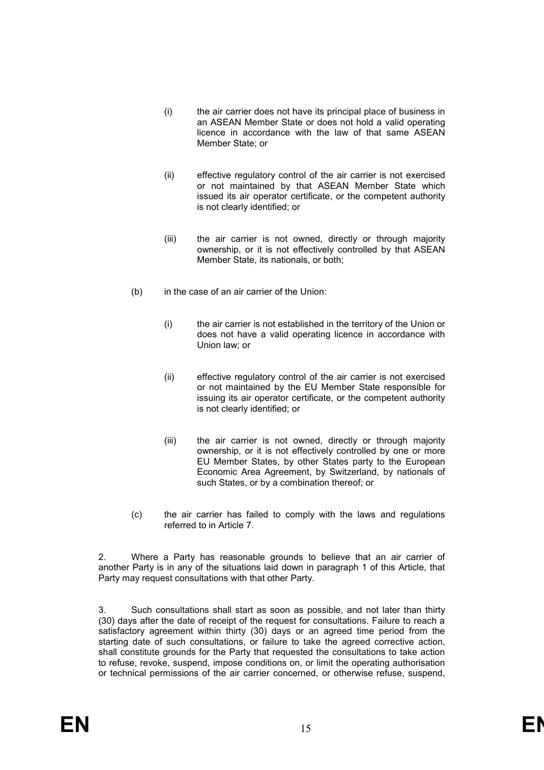- (i) the air carrier does not have its principal place of business in an ASEAN Member State or does not hold a valid operating licence in accordance with the law of that same ASEAN Member State; or
- (ii) effective regulatory control of the air carrier is not exercised or not maintained by that ASEAN Member State which issued its air operator certificate, or the competent authority is not clearly identified; or
- (iii) the air carrier is not owned, directly or through majority ownership, or it is not effectively controlled by that ASEAN Member State, its nationals, or both;
- (b) in the case of an air carrier of the Union:
	- (i) the air carrier is not established in the territory of the Union or does not have a valid operating licence in accordance with Union law; or
	- (ii) effective regulatory control of the air carrier is not exercised or not maintained by the EU Member State responsible for issuing its air operator certificate, or the competent authority is not clearly identified; or
	- (iii) the air carrier is not owned, directly or through majority ownership, or it is not effectively controlled by one or more EU Member States, by other States party to the European Economic Area Agreement, by Switzerland, by nationals of such States, or by a combination thereof; or
- (c) the air carrier has failed to comply with the laws and regulations referred to in Article 7.

2. Where a Party has reasonable grounds to believe that an air carrier of another Party is in any of the situations laid down in paragraph 1 of this Article, that Party may request consultations with that other Party.

Such consultations shall start as soon as possible, and not later than thirty (30) days after the date of receipt of the request for consultations. Failure to reach a satisfactory agreement within thirty (30) days or an agreed time period from the starting date of such consultations, or failure to take the agreed corrective action, shall constitute grounds for the Party that requested the consultations to take action to refuse, revoke, suspend, impose conditions on, or limit the operating authorisation or technical permissions of the air carrier concerned, or otherwise refuse, suspend,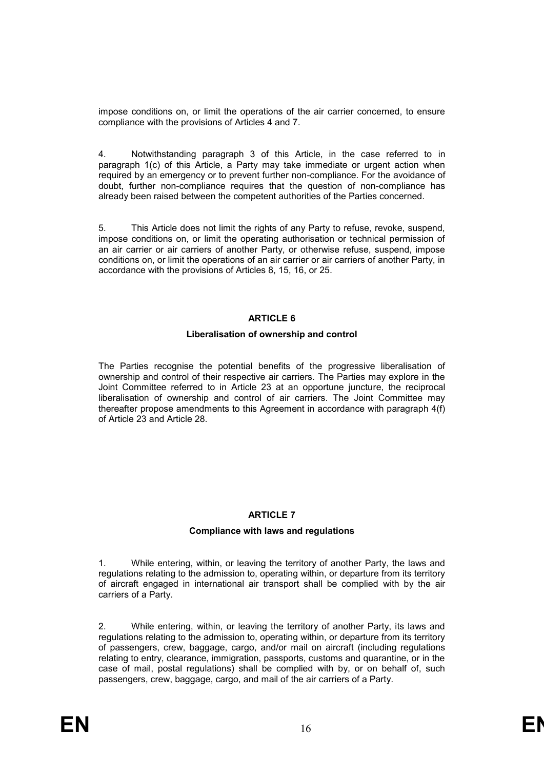impose conditions on, or limit the operations of the air carrier concerned, to ensure compliance with the provisions of Articles 4 and 7.

4. Notwithstanding paragraph 3 of this Article, in the case referred to in paragraph 1(c) of this Article, a Party may take immediate or urgent action when required by an emergency or to prevent further non-compliance. For the avoidance of doubt, further non-compliance requires that the question of non-compliance has already been raised between the competent authorities of the Parties concerned.

5. This Article does not limit the rights of any Party to refuse, revoke, suspend, impose conditions on, or limit the operating authorisation or technical permission of an air carrier or air carriers of another Party, or otherwise refuse, suspend, impose conditions on, or limit the operations of an air carrier or air carriers of another Party, in accordance with the provisions of Articles 8, 15, 16, or 25.

# **ARTICLE 6**

#### **Liberalisation of ownership and control**

The Parties recognise the potential benefits of the progressive liberalisation of ownership and control of their respective air carriers. The Parties may explore in the Joint Committee referred to in Article 23 at an opportune juncture, the reciprocal liberalisation of ownership and control of air carriers. The Joint Committee may thereafter propose amendments to this Agreement in accordance with paragraph 4(f) of Article 23 and Article 28.

# **ARTICLE 7**

# **Compliance with laws and regulations**

1. While entering, within, or leaving the territory of another Party, the laws and regulations relating to the admission to, operating within, or departure from its territory of aircraft engaged in international air transport shall be complied with by the air carriers of a Party.

2. While entering, within, or leaving the territory of another Party, its laws and regulations relating to the admission to, operating within, or departure from its territory of passengers, crew, baggage, cargo, and/or mail on aircraft (including regulations relating to entry, clearance, immigration, passports, customs and quarantine, or in the case of mail, postal regulations) shall be complied with by, or on behalf of, such passengers, crew, baggage, cargo, and mail of the air carriers of a Party.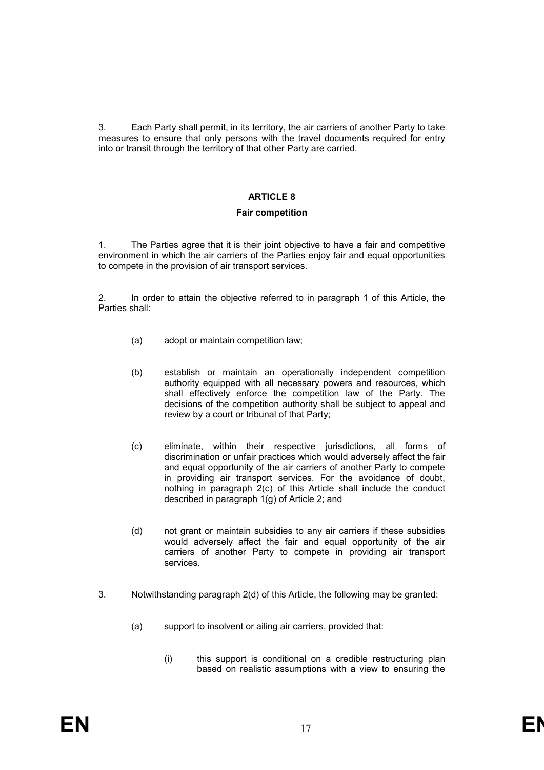3. Each Party shall permit, in its territory, the air carriers of another Party to take measures to ensure that only persons with the travel documents required for entry into or transit through the territory of that other Party are carried.

# **ARTICLE 8**

#### **Fair competition**

1. The Parties agree that it is their joint objective to have a fair and competitive environment in which the air carriers of the Parties enjoy fair and equal opportunities to compete in the provision of air transport services.

2. In order to attain the objective referred to in paragraph 1 of this Article, the Parties shall:

- (a) adopt or maintain competition law;
- (b) establish or maintain an operationally independent competition authority equipped with all necessary powers and resources, which shall effectively enforce the competition law of the Party. The decisions of the competition authority shall be subject to appeal and review by a court or tribunal of that Party;
- (c) eliminate, within their respective jurisdictions, all forms of discrimination or unfair practices which would adversely affect the fair and equal opportunity of the air carriers of another Party to compete in providing air transport services. For the avoidance of doubt, nothing in paragraph 2(c) of this Article shall include the conduct described in paragraph 1(g) of Article 2; and
- (d) not grant or maintain subsidies to any air carriers if these subsidies would adversely affect the fair and equal opportunity of the air carriers of another Party to compete in providing air transport services.
- 3. Notwithstanding paragraph 2(d) of this Article, the following may be granted:
	- (a) support to insolvent or ailing air carriers, provided that:
		- (i) this support is conditional on a credible restructuring plan based on realistic assumptions with a view to ensuring the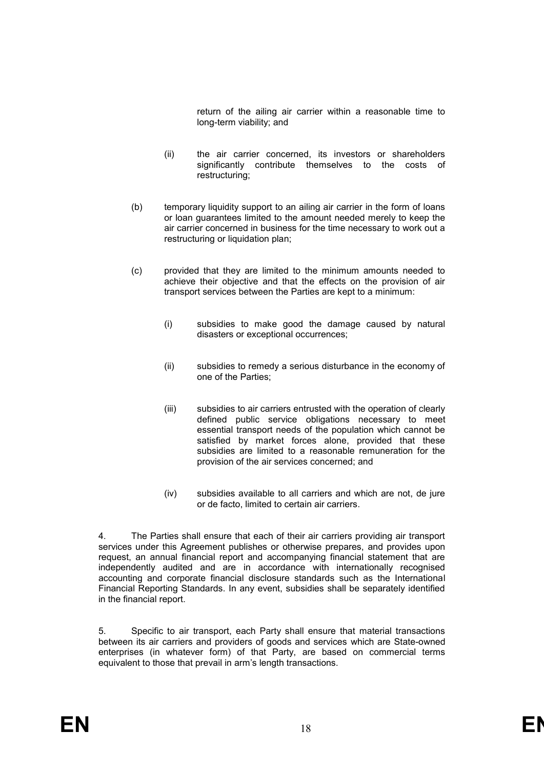return of the ailing air carrier within a reasonable time to long-term viability; and

- (ii) the air carrier concerned, its investors or shareholders significantly contribute themselves to the costs of restructuring;
- (b) temporary liquidity support to an ailing air carrier in the form of loans or loan guarantees limited to the amount needed merely to keep the air carrier concerned in business for the time necessary to work out a restructuring or liquidation plan;
- (c) provided that they are limited to the minimum amounts needed to achieve their objective and that the effects on the provision of air transport services between the Parties are kept to a minimum:
	- (i) subsidies to make good the damage caused by natural disasters or exceptional occurrences;
	- (ii) subsidies to remedy a serious disturbance in the economy of one of the Parties;
	- (iii) subsidies to air carriers entrusted with the operation of clearly defined public service obligations necessary to meet essential transport needs of the population which cannot be satisfied by market forces alone, provided that these subsidies are limited to a reasonable remuneration for the provision of the air services concerned; and
	- (iv) subsidies available to all carriers and which are not, de jure or de facto, limited to certain air carriers.

4. The Parties shall ensure that each of their air carriers providing air transport services under this Agreement publishes or otherwise prepares, and provides upon request, an annual financial report and accompanying financial statement that are independently audited and are in accordance with internationally recognised accounting and corporate financial disclosure standards such as the International Financial Reporting Standards. In any event, subsidies shall be separately identified in the financial report.

5. Specific to air transport, each Party shall ensure that material transactions between its air carriers and providers of goods and services which are State-owned enterprises (in whatever form) of that Party, are based on commercial terms equivalent to those that prevail in arm's length transactions.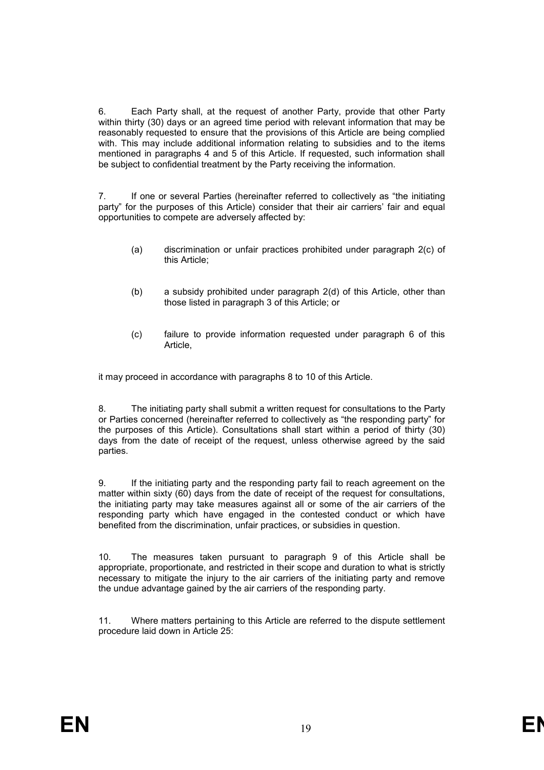6. Each Party shall, at the request of another Party, provide that other Party within thirty (30) days or an agreed time period with relevant information that may be reasonably requested to ensure that the provisions of this Article are being complied with. This may include additional information relating to subsidies and to the items mentioned in paragraphs 4 and 5 of this Article. If requested, such information shall be subject to confidential treatment by the Party receiving the information.

7. If one or several Parties (hereinafter referred to collectively as "the initiating party" for the purposes of this Article) consider that their air carriers' fair and equal opportunities to compete are adversely affected by:

- (a) discrimination or unfair practices prohibited under paragraph 2(c) of this Article;
- (b) a subsidy prohibited under paragraph 2(d) of this Article, other than those listed in paragraph 3 of this Article; or
- (c) failure to provide information requested under paragraph 6 of this Article,

it may proceed in accordance with paragraphs 8 to 10 of this Article.

8. The initiating party shall submit a written request for consultations to the Party or Parties concerned (hereinafter referred to collectively as "the responding party" for the purposes of this Article). Consultations shall start within a period of thirty (30) days from the date of receipt of the request, unless otherwise agreed by the said parties.

9. If the initiating party and the responding party fail to reach agreement on the matter within sixty (60) days from the date of receipt of the request for consultations, the initiating party may take measures against all or some of the air carriers of the responding party which have engaged in the contested conduct or which have benefited from the discrimination, unfair practices, or subsidies in question.

10. The measures taken pursuant to paragraph 9 of this Article shall be appropriate, proportionate, and restricted in their scope and duration to what is strictly necessary to mitigate the injury to the air carriers of the initiating party and remove the undue advantage gained by the air carriers of the responding party.

11. Where matters pertaining to this Article are referred to the dispute settlement procedure laid down in Article 25: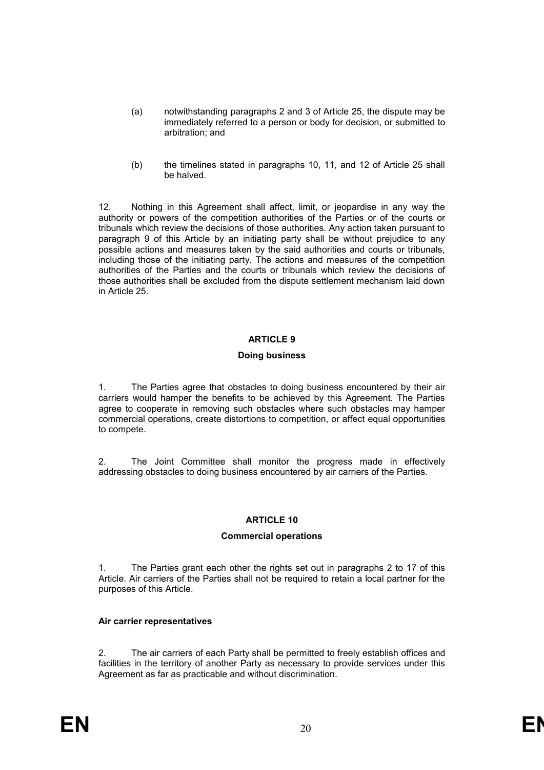- (a) notwithstanding paragraphs 2 and 3 of Article 25, the dispute may be immediately referred to a person or body for decision, or submitted to arbitration; and
- (b) the timelines stated in paragraphs 10, 11, and 12 of Article 25 shall be halved.

12. Nothing in this Agreement shall affect, limit, or jeopardise in any way the authority or powers of the competition authorities of the Parties or of the courts or tribunals which review the decisions of those authorities. Any action taken pursuant to paragraph 9 of this Article by an initiating party shall be without prejudice to any possible actions and measures taken by the said authorities and courts or tribunals, including those of the initiating party. The actions and measures of the competition authorities of the Parties and the courts or tribunals which review the decisions of those authorities shall be excluded from the dispute settlement mechanism laid down in Article 25.

# **ARTICLE 9**

# **Doing business**

1. The Parties agree that obstacles to doing business encountered by their air carriers would hamper the benefits to be achieved by this Agreement. The Parties agree to cooperate in removing such obstacles where such obstacles may hamper commercial operations, create distortions to competition, or affect equal opportunities to compete.

2. The Joint Committee shall monitor the progress made in effectively addressing obstacles to doing business encountered by air carriers of the Parties.

# **ARTICLE 10**

# **Commercial operations**

1. The Parties grant each other the rights set out in paragraphs 2 to 17 of this Article. Air carriers of the Parties shall not be required to retain a local partner for the purposes of this Article.

# **Air carrier representatives**

2. The air carriers of each Party shall be permitted to freely establish offices and facilities in the territory of another Party as necessary to provide services under this Agreement as far as practicable and without discrimination.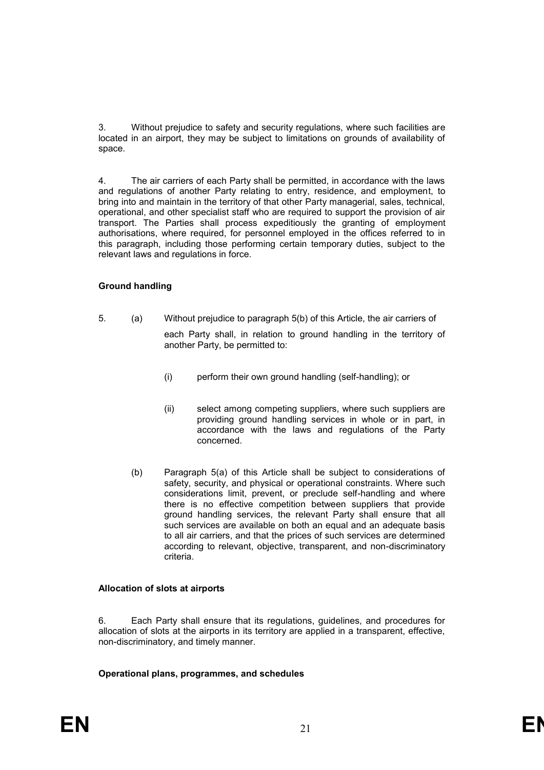3. Without prejudice to safety and security regulations, where such facilities are located in an airport, they may be subject to limitations on grounds of availability of space.

4. The air carriers of each Party shall be permitted, in accordance with the laws and regulations of another Party relating to entry, residence, and employment, to bring into and maintain in the territory of that other Party managerial, sales, technical, operational, and other specialist staff who are required to support the provision of air transport. The Parties shall process expeditiously the granting of employment authorisations, where required, for personnel employed in the offices referred to in this paragraph, including those performing certain temporary duties, subject to the relevant laws and regulations in force.

# **Ground handling**

- 5. (a) Without prejudice to paragraph 5(b) of this Article, the air carriers of each Party shall, in relation to ground handling in the territory of another Party, be permitted to:
	- (i) perform their own ground handling (self-handling); or
	- (ii) select among competing suppliers, where such suppliers are providing ground handling services in whole or in part, in accordance with the laws and regulations of the Party concerned.
	- (b) Paragraph 5(a) of this Article shall be subject to considerations of safety, security, and physical or operational constraints. Where such considerations limit, prevent, or preclude self-handling and where there is no effective competition between suppliers that provide ground handling services, the relevant Party shall ensure that all such services are available on both an equal and an adequate basis to all air carriers, and that the prices of such services are determined according to relevant, objective, transparent, and non-discriminatory criteria.

# **Allocation of slots at airports**

6. Each Party shall ensure that its regulations, guidelines, and procedures for allocation of slots at the airports in its territory are applied in a transparent, effective, non-discriminatory, and timely manner.

# **Operational plans, programmes, and schedules**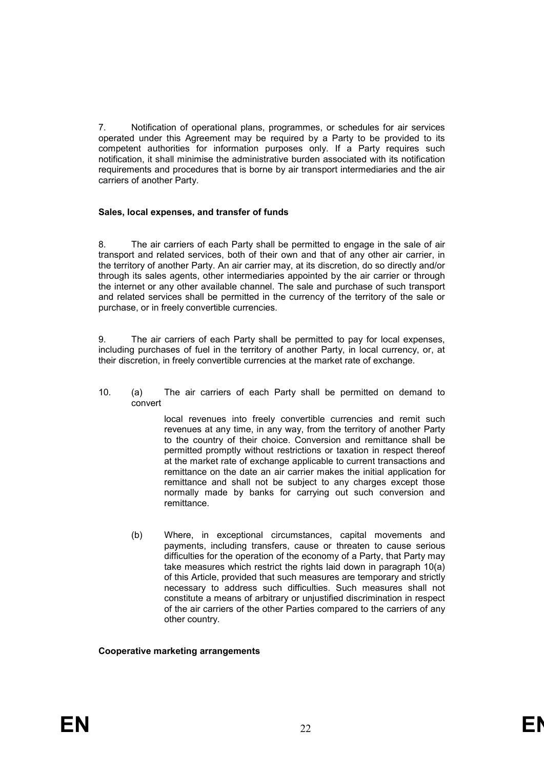7. Notification of operational plans, programmes, or schedules for air services operated under this Agreement may be required by a Party to be provided to its competent authorities for information purposes only. If a Party requires such notification, it shall minimise the administrative burden associated with its notification requirements and procedures that is borne by air transport intermediaries and the air carriers of another Party.

# **Sales, local expenses, and transfer of funds**

8. The air carriers of each Party shall be permitted to engage in the sale of air transport and related services, both of their own and that of any other air carrier, in the territory of another Party. An air carrier may, at its discretion, do so directly and/or through its sales agents, other intermediaries appointed by the air carrier or through the internet or any other available channel. The sale and purchase of such transport and related services shall be permitted in the currency of the territory of the sale or purchase, or in freely convertible currencies.

9. The air carriers of each Party shall be permitted to pay for local expenses, including purchases of fuel in the territory of another Party, in local currency, or, at their discretion, in freely convertible currencies at the market rate of exchange.

10. (a) The air carriers of each Party shall be permitted on demand to convert

> local revenues into freely convertible currencies and remit such revenues at any time, in any way, from the territory of another Party to the country of their choice. Conversion and remittance shall be permitted promptly without restrictions or taxation in respect thereof at the market rate of exchange applicable to current transactions and remittance on the date an air carrier makes the initial application for remittance and shall not be subject to any charges except those normally made by banks for carrying out such conversion and remittance.

(b) Where, in exceptional circumstances, capital movements and payments, including transfers, cause or threaten to cause serious difficulties for the operation of the economy of a Party, that Party may take measures which restrict the rights laid down in paragraph 10(a) of this Article, provided that such measures are temporary and strictly necessary to address such difficulties. Such measures shall not constitute a means of arbitrary or unjustified discrimination in respect of the air carriers of the other Parties compared to the carriers of any other country.

# **Cooperative marketing arrangements**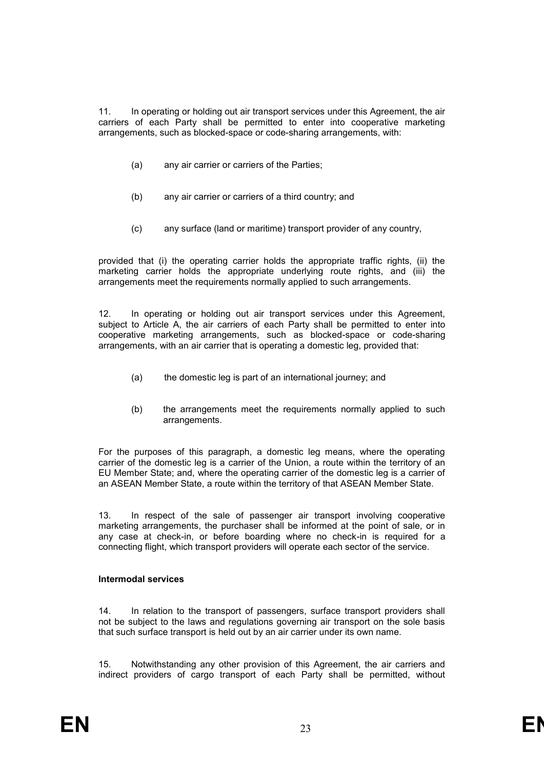11. In operating or holding out air transport services under this Agreement, the air carriers of each Party shall be permitted to enter into cooperative marketing arrangements, such as blocked-space or code-sharing arrangements, with:

- (a) any air carrier or carriers of the Parties;
- (b) any air carrier or carriers of a third country; and
- (c) any surface (land or maritime) transport provider of any country,

provided that (i) the operating carrier holds the appropriate traffic rights, (ii) the marketing carrier holds the appropriate underlying route rights, and (iii) the arrangements meet the requirements normally applied to such arrangements.

12. In operating or holding out air transport services under this Agreement, subject to Article A, the air carriers of each Party shall be permitted to enter into cooperative marketing arrangements, such as blocked-space or code-sharing arrangements, with an air carrier that is operating a domestic leg, provided that:

- (a) the domestic leg is part of an international journey; and
- (b) the arrangements meet the requirements normally applied to such arrangements.

For the purposes of this paragraph, a domestic leg means, where the operating carrier of the domestic leg is a carrier of the Union, a route within the territory of an EU Member State; and, where the operating carrier of the domestic leg is a carrier of an ASEAN Member State, a route within the territory of that ASEAN Member State.

13. In respect of the sale of passenger air transport involving cooperative marketing arrangements, the purchaser shall be informed at the point of sale, or in any case at check-in, or before boarding where no check-in is required for a connecting flight, which transport providers will operate each sector of the service.

# **Intermodal services**

14. In relation to the transport of passengers, surface transport providers shall not be subject to the laws and regulations governing air transport on the sole basis that such surface transport is held out by an air carrier under its own name.

15. Notwithstanding any other provision of this Agreement, the air carriers and indirect providers of cargo transport of each Party shall be permitted, without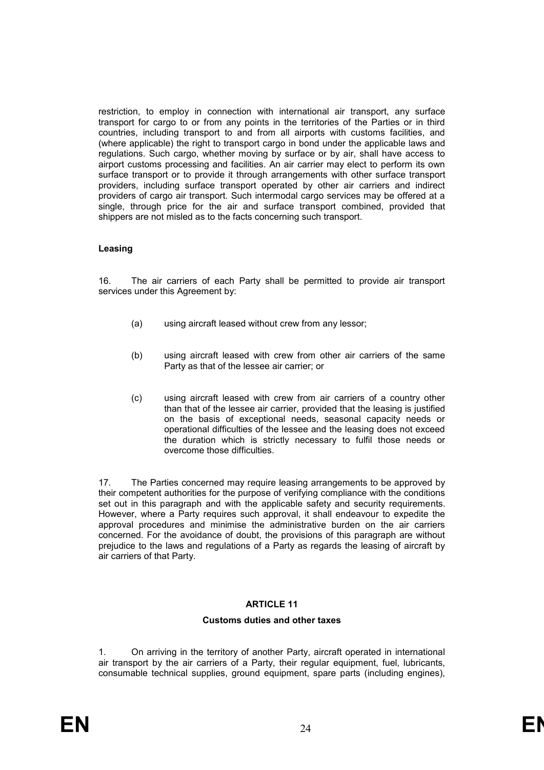restriction, to employ in connection with international air transport, any surface transport for cargo to or from any points in the territories of the Parties or in third countries, including transport to and from all airports with customs facilities, and (where applicable) the right to transport cargo in bond under the applicable laws and regulations. Such cargo, whether moving by surface or by air, shall have access to airport customs processing and facilities. An air carrier may elect to perform its own surface transport or to provide it through arrangements with other surface transport providers, including surface transport operated by other air carriers and indirect providers of cargo air transport. Such intermodal cargo services may be offered at a single, through price for the air and surface transport combined, provided that shippers are not misled as to the facts concerning such transport.

# **Leasing**

16. The air carriers of each Party shall be permitted to provide air transport services under this Agreement by:

- (a) using aircraft leased without crew from any lessor;
- (b) using aircraft leased with crew from other air carriers of the same Party as that of the lessee air carrier; or
- (c) using aircraft leased with crew from air carriers of a country other than that of the lessee air carrier, provided that the leasing is justified on the basis of exceptional needs, seasonal capacity needs or operational difficulties of the lessee and the leasing does not exceed the duration which is strictly necessary to fulfil those needs or overcome those difficulties.

17. The Parties concerned may require leasing arrangements to be approved by their competent authorities for the purpose of verifying compliance with the conditions set out in this paragraph and with the applicable safety and security requirements. However, where a Party requires such approval, it shall endeavour to expedite the approval procedures and minimise the administrative burden on the air carriers concerned. For the avoidance of doubt, the provisions of this paragraph are without prejudice to the laws and regulations of a Party as regards the leasing of aircraft by air carriers of that Party.

# **ARTICLE 11**

# **Customs duties and other taxes**

1. On arriving in the territory of another Party, aircraft operated in international air transport by the air carriers of a Party, their regular equipment, fuel, lubricants, consumable technical supplies, ground equipment, spare parts (including engines),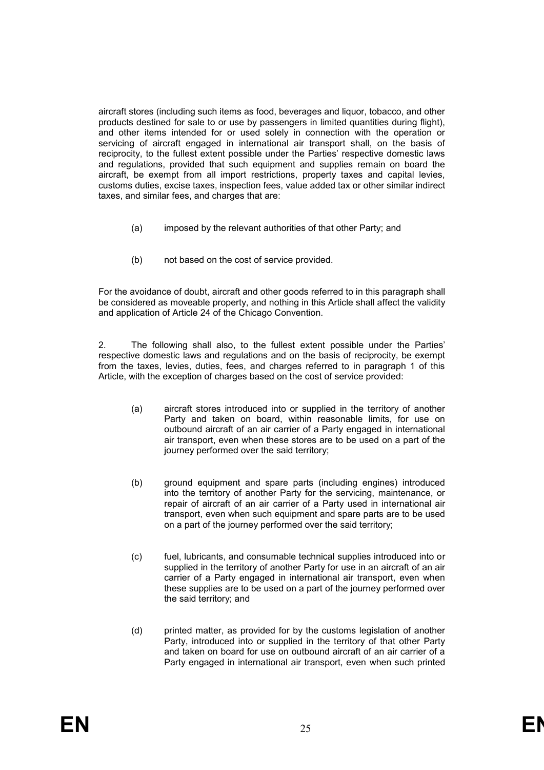aircraft stores (including such items as food, beverages and liquor, tobacco, and other products destined for sale to or use by passengers in limited quantities during flight), and other items intended for or used solely in connection with the operation or servicing of aircraft engaged in international air transport shall, on the basis of reciprocity, to the fullest extent possible under the Parties' respective domestic laws and regulations, provided that such equipment and supplies remain on board the aircraft, be exempt from all import restrictions, property taxes and capital levies, customs duties, excise taxes, inspection fees, value added tax or other similar indirect taxes, and similar fees, and charges that are:

- (a) imposed by the relevant authorities of that other Party; and
- (b) not based on the cost of service provided.

For the avoidance of doubt, aircraft and other goods referred to in this paragraph shall be considered as moveable property, and nothing in this Article shall affect the validity and application of Article 24 of the Chicago Convention.

2. The following shall also, to the fullest extent possible under the Parties' respective domestic laws and regulations and on the basis of reciprocity, be exempt from the taxes, levies, duties, fees, and charges referred to in paragraph 1 of this Article, with the exception of charges based on the cost of service provided:

- (a) aircraft stores introduced into or supplied in the territory of another Party and taken on board, within reasonable limits, for use on outbound aircraft of an air carrier of a Party engaged in international air transport, even when these stores are to be used on a part of the journey performed over the said territory;
- (b) ground equipment and spare parts (including engines) introduced into the territory of another Party for the servicing, maintenance, or repair of aircraft of an air carrier of a Party used in international air transport, even when such equipment and spare parts are to be used on a part of the journey performed over the said territory;
- (c) fuel, lubricants, and consumable technical supplies introduced into or supplied in the territory of another Party for use in an aircraft of an air carrier of a Party engaged in international air transport, even when these supplies are to be used on a part of the journey performed over the said territory; and
- (d) printed matter, as provided for by the customs legislation of another Party, introduced into or supplied in the territory of that other Party and taken on board for use on outbound aircraft of an air carrier of a Party engaged in international air transport, even when such printed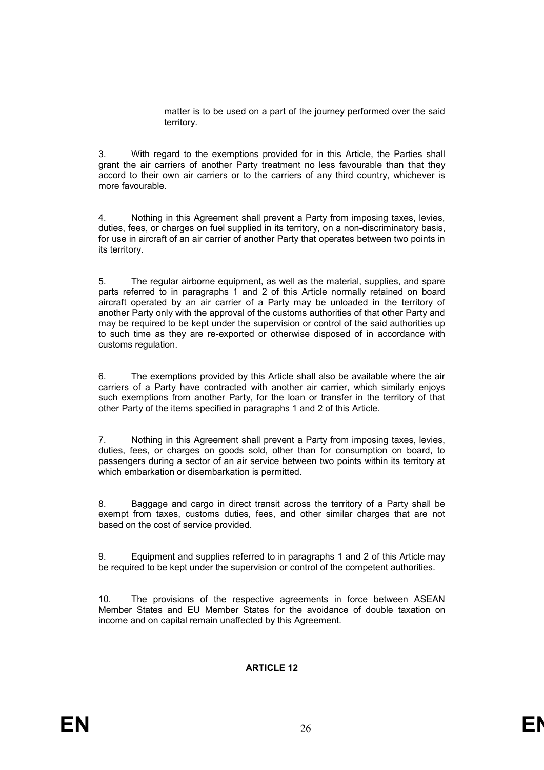matter is to be used on a part of the journey performed over the said territory.

3. With regard to the exemptions provided for in this Article, the Parties shall grant the air carriers of another Party treatment no less favourable than that they accord to their own air carriers or to the carriers of any third country, whichever is more favourable.

4. Nothing in this Agreement shall prevent a Party from imposing taxes, levies, duties, fees, or charges on fuel supplied in its territory, on a non-discriminatory basis, for use in aircraft of an air carrier of another Party that operates between two points in its territory.

5. The regular airborne equipment, as well as the material, supplies, and spare parts referred to in paragraphs 1 and 2 of this Article normally retained on board aircraft operated by an air carrier of a Party may be unloaded in the territory of another Party only with the approval of the customs authorities of that other Party and may be required to be kept under the supervision or control of the said authorities up to such time as they are re-exported or otherwise disposed of in accordance with customs regulation.

6. The exemptions provided by this Article shall also be available where the air carriers of a Party have contracted with another air carrier, which similarly enjoys such exemptions from another Party, for the loan or transfer in the territory of that other Party of the items specified in paragraphs 1 and 2 of this Article.

7. Nothing in this Agreement shall prevent a Party from imposing taxes, levies, duties, fees, or charges on goods sold, other than for consumption on board, to passengers during a sector of an air service between two points within its territory at which embarkation or disembarkation is permitted.

8. Baggage and cargo in direct transit across the territory of a Party shall be exempt from taxes, customs duties, fees, and other similar charges that are not based on the cost of service provided.

9. Equipment and supplies referred to in paragraphs 1 and 2 of this Article may be required to be kept under the supervision or control of the competent authorities.

10. The provisions of the respective agreements in force between ASEAN Member States and EU Member States for the avoidance of double taxation on income and on capital remain unaffected by this Agreement.

# **ARTICLE 12**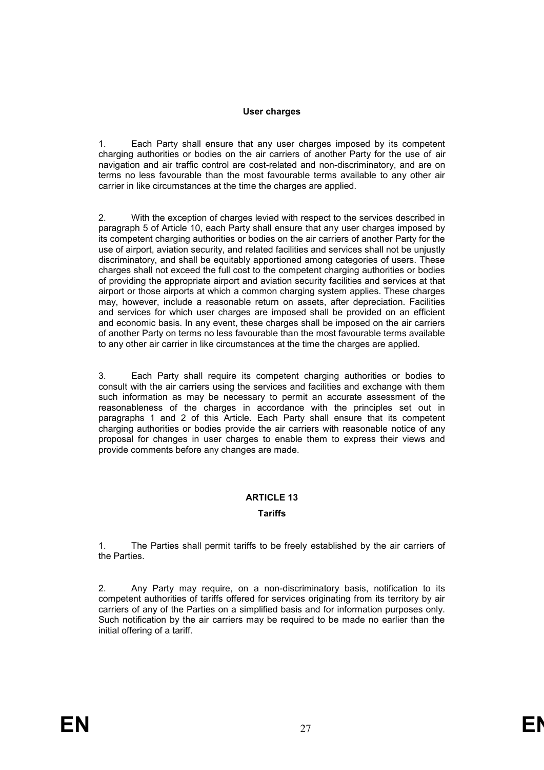# **User charges**

Each Party shall ensure that any user charges imposed by its competent charging authorities or bodies on the air carriers of another Party for the use of air navigation and air traffic control are cost-related and non-discriminatory, and are on terms no less favourable than the most favourable terms available to any other air carrier in like circumstances at the time the charges are applied.

2. With the exception of charges levied with respect to the services described in paragraph 5 of Article 10, each Party shall ensure that any user charges imposed by its competent charging authorities or bodies on the air carriers of another Party for the use of airport, aviation security, and related facilities and services shall not be unjustly discriminatory, and shall be equitably apportioned among categories of users. These charges shall not exceed the full cost to the competent charging authorities or bodies of providing the appropriate airport and aviation security facilities and services at that airport or those airports at which a common charging system applies. These charges may, however, include a reasonable return on assets, after depreciation. Facilities and services for which user charges are imposed shall be provided on an efficient and economic basis. In any event, these charges shall be imposed on the air carriers of another Party on terms no less favourable than the most favourable terms available to any other air carrier in like circumstances at the time the charges are applied.

3. Each Party shall require its competent charging authorities or bodies to consult with the air carriers using the services and facilities and exchange with them such information as may be necessary to permit an accurate assessment of the reasonableness of the charges in accordance with the principles set out in paragraphs 1 and 2 of this Article. Each Party shall ensure that its competent charging authorities or bodies provide the air carriers with reasonable notice of any proposal for changes in user charges to enable them to express their views and provide comments before any changes are made.

# **ARTICLE 13**

# **Tariffs**

1. The Parties shall permit tariffs to be freely established by the air carriers of the Parties.

2. Any Party may require, on a non-discriminatory basis, notification to its competent authorities of tariffs offered for services originating from its territory by air carriers of any of the Parties on a simplified basis and for information purposes only. Such notification by the air carriers may be required to be made no earlier than the initial offering of a tariff.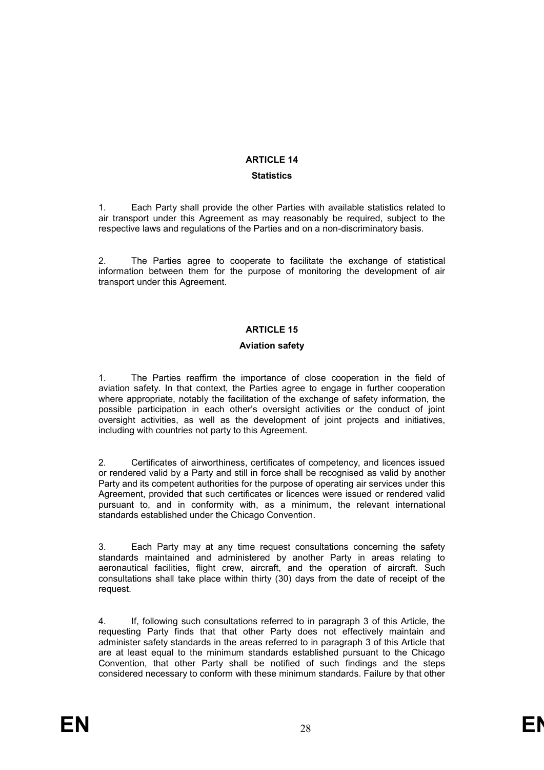# **ARTICLE 14**

# **Statistics**

1. Each Party shall provide the other Parties with available statistics related to air transport under this Agreement as may reasonably be required, subject to the respective laws and regulations of the Parties and on a non-discriminatory basis.

2. The Parties agree to cooperate to facilitate the exchange of statistical information between them for the purpose of monitoring the development of air transport under this Agreement.

# **ARTICLE 15**

# **Aviation safety**

1. The Parties reaffirm the importance of close cooperation in the field of aviation safety. In that context, the Parties agree to engage in further cooperation where appropriate, notably the facilitation of the exchange of safety information, the possible participation in each other's oversight activities or the conduct of joint oversight activities, as well as the development of joint projects and initiatives, including with countries not party to this Agreement.

2. Certificates of airworthiness, certificates of competency, and licences issued or rendered valid by a Party and still in force shall be recognised as valid by another Party and its competent authorities for the purpose of operating air services under this Agreement, provided that such certificates or licences were issued or rendered valid pursuant to, and in conformity with, as a minimum, the relevant international standards established under the Chicago Convention.

3. Each Party may at any time request consultations concerning the safety standards maintained and administered by another Party in areas relating to aeronautical facilities, flight crew, aircraft, and the operation of aircraft. Such consultations shall take place within thirty (30) days from the date of receipt of the request.

4. If, following such consultations referred to in paragraph 3 of this Article, the requesting Party finds that that other Party does not effectively maintain and administer safety standards in the areas referred to in paragraph 3 of this Article that are at least equal to the minimum standards established pursuant to the Chicago Convention, that other Party shall be notified of such findings and the steps considered necessary to conform with these minimum standards. Failure by that other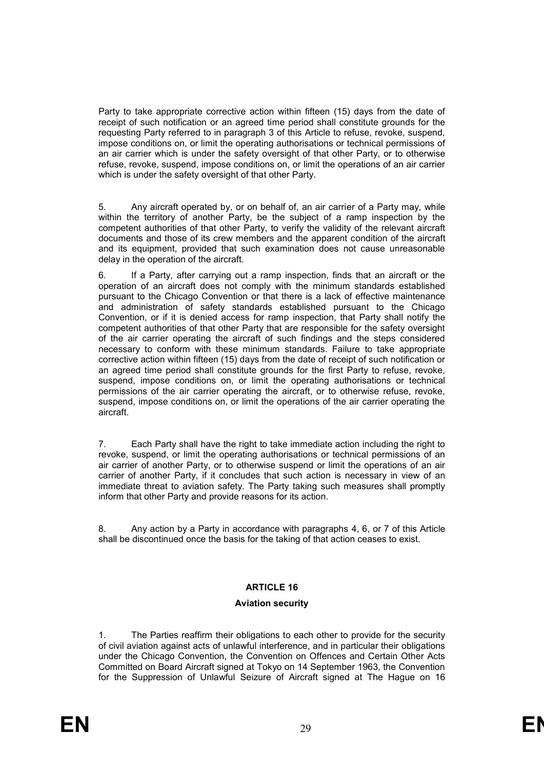Party to take appropriate corrective action within fifteen (15) days from the date of receipt of such notification or an agreed time period shall constitute grounds for the requesting Party referred to in paragraph 3 of this Article to refuse, revoke, suspend, impose conditions on, or limit the operating authorisations or technical permissions of an air carrier which is under the safety oversight of that other Party, or to otherwise refuse, revoke, suspend, impose conditions on, or limit the operations of an air carrier which is under the safety oversight of that other Party.

5. Any aircraft operated by, or on behalf of, an air carrier of a Party may, while within the territory of another Party, be the subject of a ramp inspection by the competent authorities of that other Party, to verify the validity of the relevant aircraft documents and those of its crew members and the apparent condition of the aircraft and its equipment, provided that such examination does not cause unreasonable delay in the operation of the aircraft.

6. If a Party, after carrying out a ramp inspection, finds that an aircraft or the operation of an aircraft does not comply with the minimum standards established pursuant to the Chicago Convention or that there is a lack of effective maintenance and administration of safety standards established pursuant to the Chicago Convention, or if it is denied access for ramp inspection, that Party shall notify the competent authorities of that other Party that are responsible for the safety oversight of the air carrier operating the aircraft of such findings and the steps considered necessary to conform with these minimum standards. Failure to take appropriate corrective action within fifteen (15) days from the date of receipt of such notification or an agreed time period shall constitute grounds for the first Party to refuse, revoke, suspend, impose conditions on, or limit the operating authorisations or technical permissions of the air carrier operating the aircraft, or to otherwise refuse, revoke, suspend, impose conditions on, or limit the operations of the air carrier operating the aircraft.

7. Each Party shall have the right to take immediate action including the right to revoke, suspend, or limit the operating authorisations or technical permissions of an air carrier of another Party, or to otherwise suspend or limit the operations of an air carrier of another Party, if it concludes that such action is necessary in view of an immediate threat to aviation safety. The Party taking such measures shall promptly inform that other Party and provide reasons for its action.

8. Any action by a Party in accordance with paragraphs 4, 6, or 7 of this Article shall be discontinued once the basis for the taking of that action ceases to exist.

# **ARTICLE 16**

# **Aviation security**

1. The Parties reaffirm their obligations to each other to provide for the security of civil aviation against acts of unlawful interference, and in particular their obligations under the Chicago Convention, the Convention on Offences and Certain Other Acts Committed on Board Aircraft signed at Tokyo on 14 September 1963, the Convention for the Suppression of Unlawful Seizure of Aircraft signed at The Hague on 16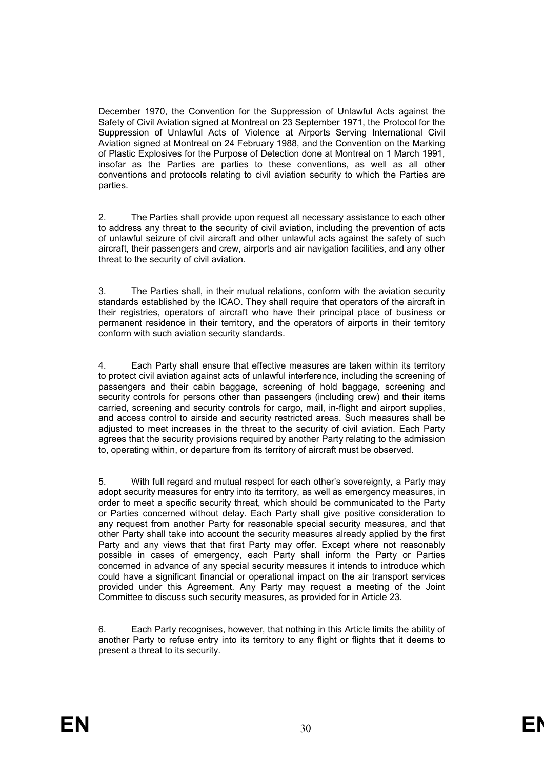December 1970, the Convention for the Suppression of Unlawful Acts against the Safety of Civil Aviation signed at Montreal on 23 September 1971, the Protocol for the Suppression of Unlawful Acts of Violence at Airports Serving International Civil Aviation signed at Montreal on 24 February 1988, and the Convention on the Marking of Plastic Explosives for the Purpose of Detection done at Montreal on 1 March 1991, insofar as the Parties are parties to these conventions, as well as all other conventions and protocols relating to civil aviation security to which the Parties are parties.

2. The Parties shall provide upon request all necessary assistance to each other to address any threat to the security of civil aviation, including the prevention of acts of unlawful seizure of civil aircraft and other unlawful acts against the safety of such aircraft, their passengers and crew, airports and air navigation facilities, and any other threat to the security of civil aviation.

3. The Parties shall, in their mutual relations, conform with the aviation security standards established by the ICAO. They shall require that operators of the aircraft in their registries, operators of aircraft who have their principal place of business or permanent residence in their territory, and the operators of airports in their territory conform with such aviation security standards.

4. Each Party shall ensure that effective measures are taken within its territory to protect civil aviation against acts of unlawful interference, including the screening of passengers and their cabin baggage, screening of hold baggage, screening and security controls for persons other than passengers (including crew) and their items carried, screening and security controls for cargo, mail, in-flight and airport supplies, and access control to airside and security restricted areas. Such measures shall be adjusted to meet increases in the threat to the security of civil aviation. Each Party agrees that the security provisions required by another Party relating to the admission to, operating within, or departure from its territory of aircraft must be observed.

5. With full regard and mutual respect for each other's sovereignty, a Party may adopt security measures for entry into its territory, as well as emergency measures, in order to meet a specific security threat, which should be communicated to the Party or Parties concerned without delay. Each Party shall give positive consideration to any request from another Party for reasonable special security measures, and that other Party shall take into account the security measures already applied by the first Party and any views that that first Party may offer. Except where not reasonably possible in cases of emergency, each Party shall inform the Party or Parties concerned in advance of any special security measures it intends to introduce which could have a significant financial or operational impact on the air transport services provided under this Agreement. Any Party may request a meeting of the Joint Committee to discuss such security measures, as provided for in Article 23.

6. Each Party recognises, however, that nothing in this Article limits the ability of another Party to refuse entry into its territory to any flight or flights that it deems to present a threat to its security.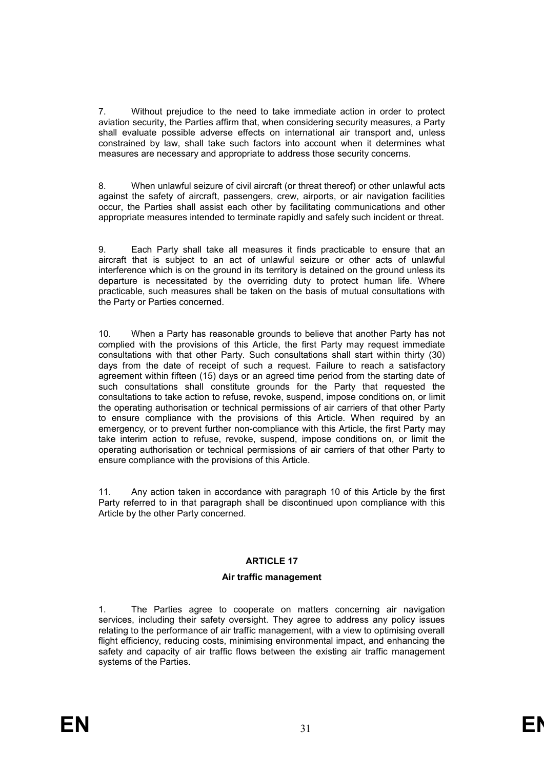7. Without prejudice to the need to take immediate action in order to protect aviation security, the Parties affirm that, when considering security measures, a Party shall evaluate possible adverse effects on international air transport and, unless constrained by law, shall take such factors into account when it determines what measures are necessary and appropriate to address those security concerns.

8. When unlawful seizure of civil aircraft (or threat thereof) or other unlawful acts against the safety of aircraft, passengers, crew, airports, or air navigation facilities occur, the Parties shall assist each other by facilitating communications and other appropriate measures intended to terminate rapidly and safely such incident or threat.

9. Each Party shall take all measures it finds practicable to ensure that an aircraft that is subject to an act of unlawful seizure or other acts of unlawful interference which is on the ground in its territory is detained on the ground unless its departure is necessitated by the overriding duty to protect human life. Where practicable, such measures shall be taken on the basis of mutual consultations with the Party or Parties concerned.

10. When a Party has reasonable grounds to believe that another Party has not complied with the provisions of this Article, the first Party may request immediate consultations with that other Party. Such consultations shall start within thirty (30) days from the date of receipt of such a request. Failure to reach a satisfactory agreement within fifteen (15) days or an agreed time period from the starting date of such consultations shall constitute grounds for the Party that requested the consultations to take action to refuse, revoke, suspend, impose conditions on, or limit the operating authorisation or technical permissions of air carriers of that other Party to ensure compliance with the provisions of this Article. When required by an emergency, or to prevent further non-compliance with this Article, the first Party may take interim action to refuse, revoke, suspend, impose conditions on, or limit the operating authorisation or technical permissions of air carriers of that other Party to ensure compliance with the provisions of this Article.

11. Any action taken in accordance with paragraph 10 of this Article by the first Party referred to in that paragraph shall be discontinued upon compliance with this Article by the other Party concerned.

# **ARTICLE 17**

# **Air traffic management**

1. The Parties agree to cooperate on matters concerning air navigation services, including their safety oversight. They agree to address any policy issues relating to the performance of air traffic management, with a view to optimising overall flight efficiency, reducing costs, minimising environmental impact, and enhancing the safety and capacity of air traffic flows between the existing air traffic management systems of the Parties.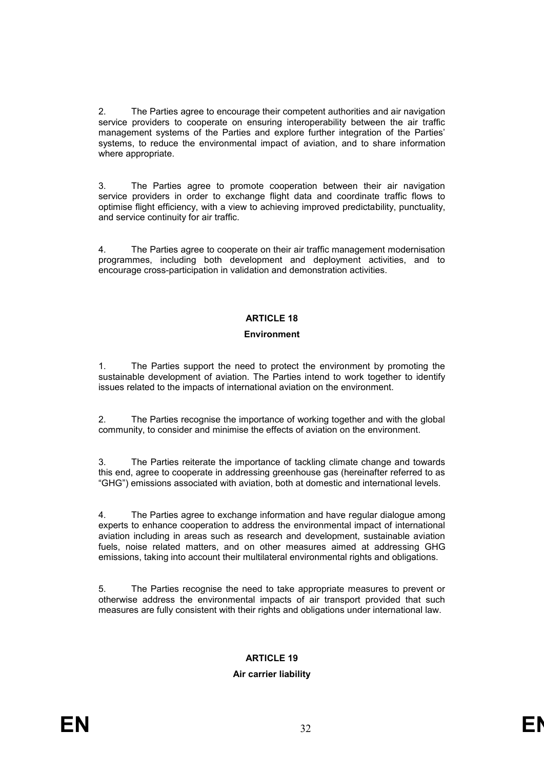2. The Parties agree to encourage their competent authorities and air navigation service providers to cooperate on ensuring interoperability between the air traffic management systems of the Parties and explore further integration of the Parties' systems, to reduce the environmental impact of aviation, and to share information where appropriate.

3. The Parties agree to promote cooperation between their air navigation service providers in order to exchange flight data and coordinate traffic flows to optimise flight efficiency, with a view to achieving improved predictability, punctuality, and service continuity for air traffic.

4. The Parties agree to cooperate on their air traffic management modernisation programmes, including both development and deployment activities, and to encourage cross-participation in validation and demonstration activities.

# **ARTICLE 18**

# **Environment**

1. The Parties support the need to protect the environment by promoting the sustainable development of aviation. The Parties intend to work together to identify issues related to the impacts of international aviation on the environment.

2. The Parties recognise the importance of working together and with the global community, to consider and minimise the effects of aviation on the environment.

3. The Parties reiterate the importance of tackling climate change and towards this end, agree to cooperate in addressing greenhouse gas (hereinafter referred to as "GHG") emissions associated with aviation, both at domestic and international levels.

4. The Parties agree to exchange information and have regular dialogue among experts to enhance cooperation to address the environmental impact of international aviation including in areas such as research and development, sustainable aviation fuels, noise related matters, and on other measures aimed at addressing GHG emissions, taking into account their multilateral environmental rights and obligations.

5. The Parties recognise the need to take appropriate measures to prevent or otherwise address the environmental impacts of air transport provided that such measures are fully consistent with their rights and obligations under international law.

# **ARTICLE 19**

# **Air carrier liability**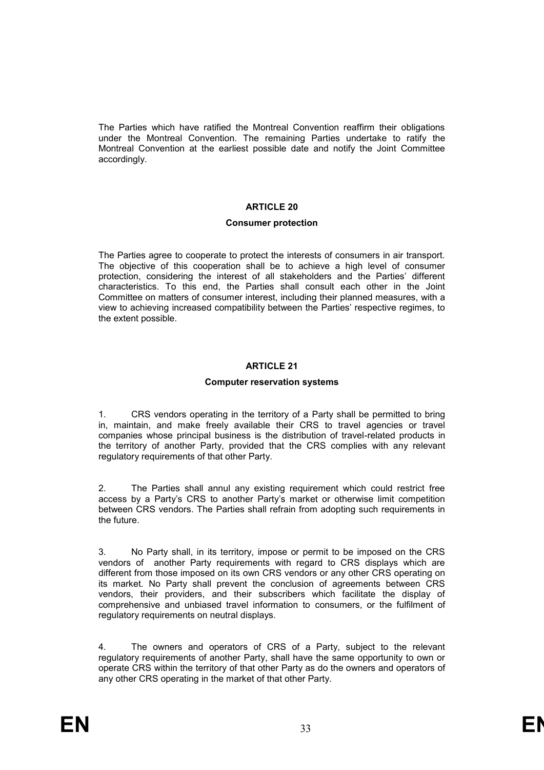The Parties which have ratified the Montreal Convention reaffirm their obligations under the Montreal Convention. The remaining Parties undertake to ratify the Montreal Convention at the earliest possible date and notify the Joint Committee accordingly.

# **ARTICLE 20**

#### **Consumer protection**

The Parties agree to cooperate to protect the interests of consumers in air transport. The objective of this cooperation shall be to achieve a high level of consumer protection, considering the interest of all stakeholders and the Parties' different characteristics. To this end, the Parties shall consult each other in the Joint Committee on matters of consumer interest, including their planned measures, with a view to achieving increased compatibility between the Parties' respective regimes, to the extent possible.

# **ARTICLE 21**

# **Computer reservation systems**

1. CRS vendors operating in the territory of a Party shall be permitted to bring in, maintain, and make freely available their CRS to travel agencies or travel companies whose principal business is the distribution of travel-related products in the territory of another Party, provided that the CRS complies with any relevant regulatory requirements of that other Party.

2. The Parties shall annul any existing requirement which could restrict free access by a Party's CRS to another Party's market or otherwise limit competition between CRS vendors. The Parties shall refrain from adopting such requirements in the future.

3. No Party shall, in its territory, impose or permit to be imposed on the CRS vendors of another Party requirements with regard to CRS displays which are different from those imposed on its own CRS vendors or any other CRS operating on its market. No Party shall prevent the conclusion of agreements between CRS vendors, their providers, and their subscribers which facilitate the display of comprehensive and unbiased travel information to consumers, or the fulfilment of regulatory requirements on neutral displays.

4. The owners and operators of CRS of a Party, subject to the relevant regulatory requirements of another Party, shall have the same opportunity to own or operate CRS within the territory of that other Party as do the owners and operators of any other CRS operating in the market of that other Party.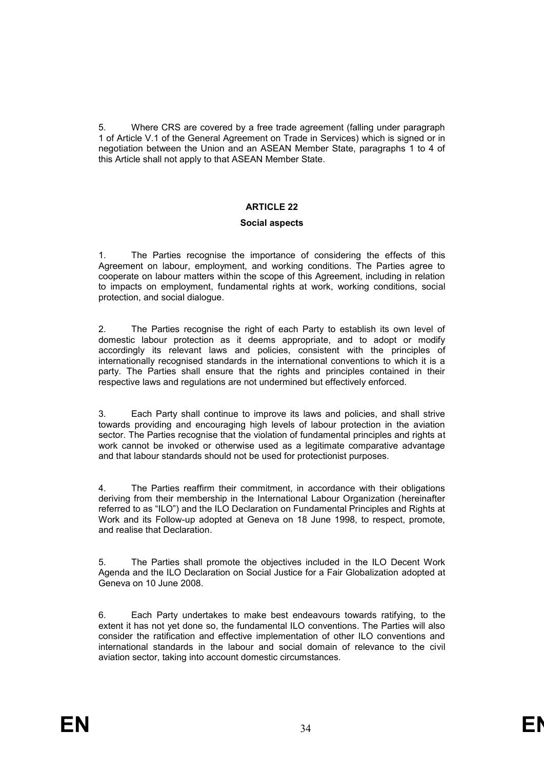5. Where CRS are covered by a free trade agreement (falling under paragraph 1 of Article V.1 of the General Agreement on Trade in Services) which is signed or in negotiation between the Union and an ASEAN Member State, paragraphs 1 to 4 of this Article shall not apply to that ASEAN Member State.

# **ARTICLE 22**

#### **Social aspects**

1. The Parties recognise the importance of considering the effects of this Agreement on labour, employment, and working conditions. The Parties agree to cooperate on labour matters within the scope of this Agreement, including in relation to impacts on employment, fundamental rights at work, working conditions, social protection, and social dialogue.

2. The Parties recognise the right of each Party to establish its own level of domestic labour protection as it deems appropriate, and to adopt or modify accordingly its relevant laws and policies, consistent with the principles of internationally recognised standards in the international conventions to which it is a party. The Parties shall ensure that the rights and principles contained in their respective laws and regulations are not undermined but effectively enforced.

3. Each Party shall continue to improve its laws and policies, and shall strive towards providing and encouraging high levels of labour protection in the aviation sector. The Parties recognise that the violation of fundamental principles and rights at work cannot be invoked or otherwise used as a legitimate comparative advantage and that labour standards should not be used for protectionist purposes.

4. The Parties reaffirm their commitment, in accordance with their obligations deriving from their membership in the International Labour Organization (hereinafter referred to as "ILO") and the ILO Declaration on Fundamental Principles and Rights at Work and its Follow-up adopted at Geneva on 18 June 1998, to respect, promote, and realise that Declaration.

5. The Parties shall promote the objectives included in the ILO Decent Work Agenda and the ILO Declaration on Social Justice for a Fair Globalization adopted at Geneva on 10 June 2008.

6. Each Party undertakes to make best endeavours towards ratifying, to the extent it has not yet done so, the fundamental ILO conventions. The Parties will also consider the ratification and effective implementation of other ILO conventions and international standards in the labour and social domain of relevance to the civil aviation sector, taking into account domestic circumstances.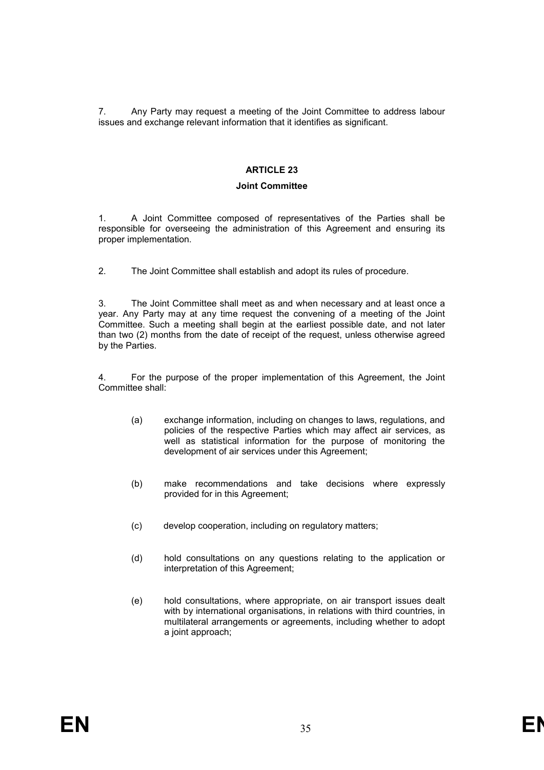7. Any Party may request a meeting of the Joint Committee to address labour issues and exchange relevant information that it identifies as significant.

# **ARTICLE 23**

# **Joint Committee**

1. A Joint Committee composed of representatives of the Parties shall be responsible for overseeing the administration of this Agreement and ensuring its proper implementation.

2. The Joint Committee shall establish and adopt its rules of procedure.

3. The Joint Committee shall meet as and when necessary and at least once a year. Any Party may at any time request the convening of a meeting of the Joint Committee. Such a meeting shall begin at the earliest possible date, and not later than two (2) months from the date of receipt of the request, unless otherwise agreed by the Parties.

4. For the purpose of the proper implementation of this Agreement, the Joint Committee shall:

- (a) exchange information, including on changes to laws, regulations, and policies of the respective Parties which may affect air services, as well as statistical information for the purpose of monitoring the development of air services under this Agreement;
- (b) make recommendations and take decisions where expressly provided for in this Agreement;
- (c) develop cooperation, including on regulatory matters;
- (d) hold consultations on any questions relating to the application or interpretation of this Agreement;
- (e) hold consultations, where appropriate, on air transport issues dealt with by international organisations, in relations with third countries, in multilateral arrangements or agreements, including whether to adopt a joint approach;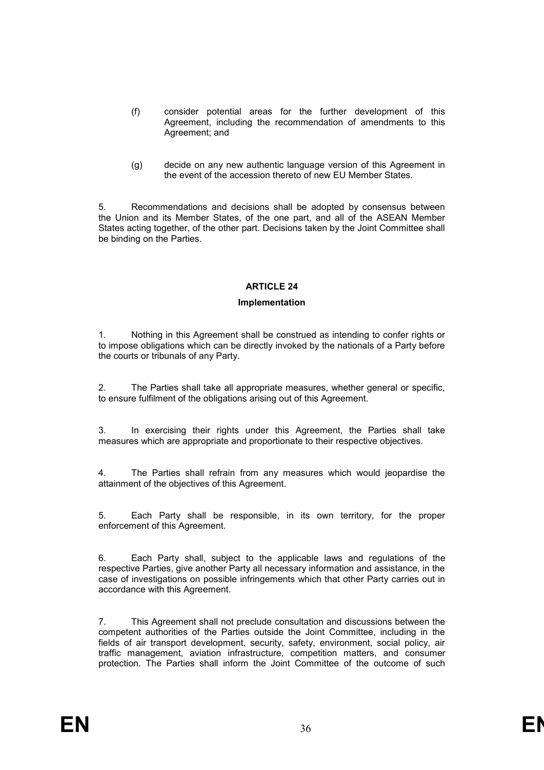- (f) consider potential areas for the further development of this Agreement, including the recommendation of amendments to this Agreement; and
- (g) decide on any new authentic language version of this Agreement in the event of the accession thereto of new EU Member States.

5. Recommendations and decisions shall be adopted by consensus between the Union and its Member States, of the one part, and all of the ASEAN Member States acting together, of the other part. Decisions taken by the Joint Committee shall be binding on the Parties.

# **ARTICLE 24**

# **Implementation**

1. Nothing in this Agreement shall be construed as intending to confer rights or to impose obligations which can be directly invoked by the nationals of a Party before the courts or tribunals of any Party.

2. The Parties shall take all appropriate measures, whether general or specific, to ensure fulfilment of the obligations arising out of this Agreement.

3. In exercising their rights under this Agreement, the Parties shall take measures which are appropriate and proportionate to their respective objectives.

4. The Parties shall refrain from any measures which would jeopardise the attainment of the objectives of this Agreement.

5. Each Party shall be responsible, in its own territory, for the proper enforcement of this Agreement.

6. Each Party shall, subject to the applicable laws and regulations of the respective Parties, give another Party all necessary information and assistance, in the case of investigations on possible infringements which that other Party carries out in accordance with this Agreement.

7. This Agreement shall not preclude consultation and discussions between the competent authorities of the Parties outside the Joint Committee, including in the fields of air transport development, security, safety, environment, social policy, air traffic management, aviation infrastructure, competition matters, and consumer protection. The Parties shall inform the Joint Committee of the outcome of such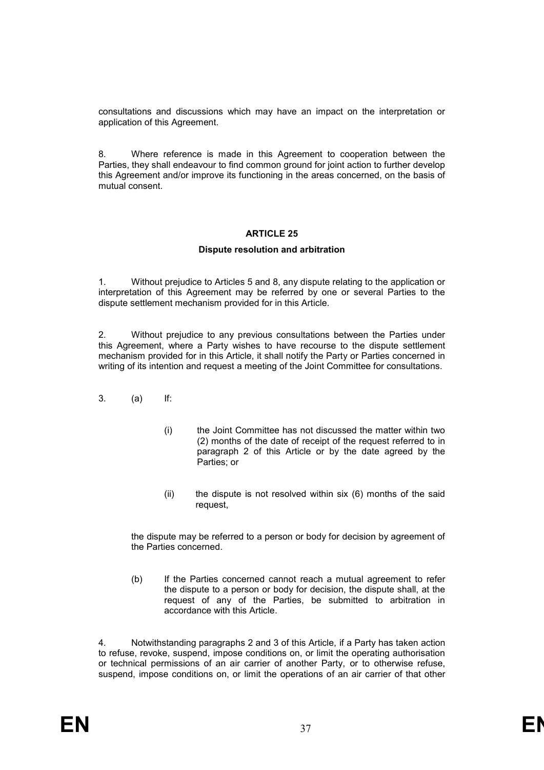consultations and discussions which may have an impact on the interpretation or application of this Agreement.

8. Where reference is made in this Agreement to cooperation between the Parties, they shall endeavour to find common ground for joint action to further develop this Agreement and/or improve its functioning in the areas concerned, on the basis of mutual consent.

# **ARTICLE 25**

# **Dispute resolution and arbitration**

1. Without prejudice to Articles 5 and 8, any dispute relating to the application or interpretation of this Agreement may be referred by one or several Parties to the dispute settlement mechanism provided for in this Article.

2. Without prejudice to any previous consultations between the Parties under this Agreement, where a Party wishes to have recourse to the dispute settlement mechanism provided for in this Article, it shall notify the Party or Parties concerned in writing of its intention and request a meeting of the Joint Committee for consultations.

- 3. (a) If:
	- (i) the Joint Committee has not discussed the matter within two (2) months of the date of receipt of the request referred to in paragraph 2 of this Article or by the date agreed by the Parties; or
	- (ii) the dispute is not resolved within six (6) months of the said request,

the dispute may be referred to a person or body for decision by agreement of the Parties concerned.

(b) If the Parties concerned cannot reach a mutual agreement to refer the dispute to a person or body for decision, the dispute shall, at the request of any of the Parties, be submitted to arbitration in accordance with this Article.

4. Notwithstanding paragraphs 2 and 3 of this Article, if a Party has taken action to refuse, revoke, suspend, impose conditions on, or limit the operating authorisation or technical permissions of an air carrier of another Party, or to otherwise refuse, suspend, impose conditions on, or limit the operations of an air carrier of that other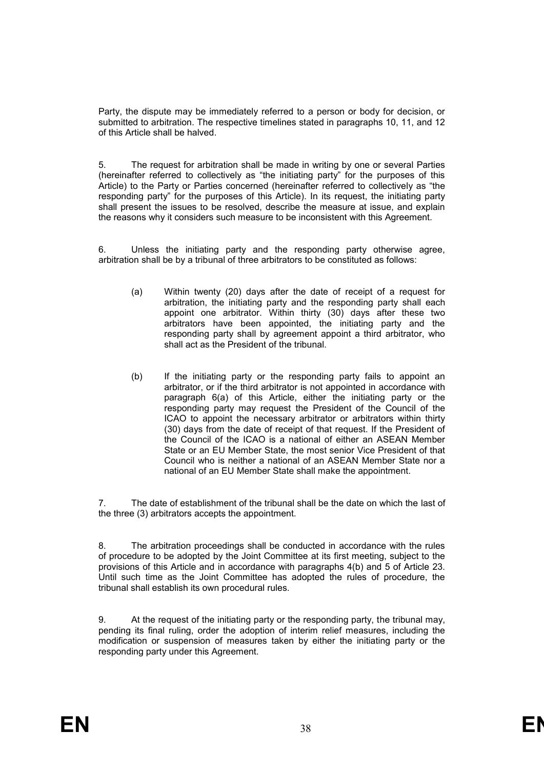Party, the dispute may be immediately referred to a person or body for decision, or submitted to arbitration. The respective timelines stated in paragraphs 10, 11, and 12 of this Article shall be halved.

5. The request for arbitration shall be made in writing by one or several Parties (hereinafter referred to collectively as "the initiating party" for the purposes of this Article) to the Party or Parties concerned (hereinafter referred to collectively as "the responding party" for the purposes of this Article). In its request, the initiating party shall present the issues to be resolved, describe the measure at issue, and explain the reasons why it considers such measure to be inconsistent with this Agreement.

6. Unless the initiating party and the responding party otherwise agree, arbitration shall be by a tribunal of three arbitrators to be constituted as follows:

- (a) Within twenty (20) days after the date of receipt of a request for arbitration, the initiating party and the responding party shall each appoint one arbitrator. Within thirty (30) days after these two arbitrators have been appointed, the initiating party and the responding party shall by agreement appoint a third arbitrator, who shall act as the President of the tribunal.
- (b) If the initiating party or the responding party fails to appoint an arbitrator, or if the third arbitrator is not appointed in accordance with paragraph 6(a) of this Article, either the initiating party or the responding party may request the President of the Council of the ICAO to appoint the necessary arbitrator or arbitrators within thirty (30) days from the date of receipt of that request. If the President of the Council of the ICAO is a national of either an ASEAN Member State or an EU Member State, the most senior Vice President of that Council who is neither a national of an ASEAN Member State nor a national of an EU Member State shall make the appointment.

7. The date of establishment of the tribunal shall be the date on which the last of the three (3) arbitrators accepts the appointment.

8. The arbitration proceedings shall be conducted in accordance with the rules of procedure to be adopted by the Joint Committee at its first meeting, subject to the provisions of this Article and in accordance with paragraphs 4(b) and 5 of Article 23. Until such time as the Joint Committee has adopted the rules of procedure, the tribunal shall establish its own procedural rules.

9. At the request of the initiating party or the responding party, the tribunal may, pending its final ruling, order the adoption of interim relief measures, including the modification or suspension of measures taken by either the initiating party or the responding party under this Agreement.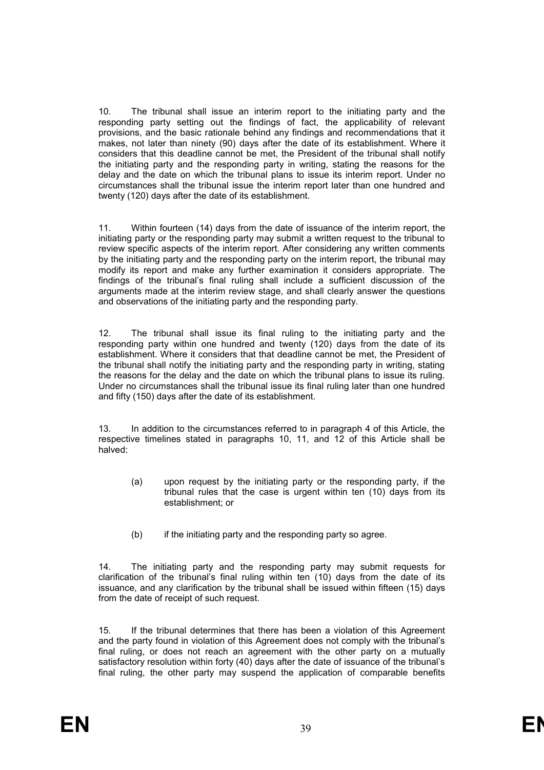10. The tribunal shall issue an interim report to the initiating party and the responding party setting out the findings of fact, the applicability of relevant provisions, and the basic rationale behind any findings and recommendations that it makes, not later than ninety (90) days after the date of its establishment. Where it considers that this deadline cannot be met, the President of the tribunal shall notify the initiating party and the responding party in writing, stating the reasons for the delay and the date on which the tribunal plans to issue its interim report. Under no circumstances shall the tribunal issue the interim report later than one hundred and twenty (120) days after the date of its establishment.

11. Within fourteen (14) days from the date of issuance of the interim report, the initiating party or the responding party may submit a written request to the tribunal to review specific aspects of the interim report. After considering any written comments by the initiating party and the responding party on the interim report, the tribunal may modify its report and make any further examination it considers appropriate. The findings of the tribunal's final ruling shall include a sufficient discussion of the arguments made at the interim review stage, and shall clearly answer the questions and observations of the initiating party and the responding party.

12. The tribunal shall issue its final ruling to the initiating party and the responding party within one hundred and twenty (120) days from the date of its establishment. Where it considers that that deadline cannot be met, the President of the tribunal shall notify the initiating party and the responding party in writing, stating the reasons for the delay and the date on which the tribunal plans to issue its ruling. Under no circumstances shall the tribunal issue its final ruling later than one hundred and fifty (150) days after the date of its establishment.

13. In addition to the circumstances referred to in paragraph 4 of this Article, the respective timelines stated in paragraphs 10, 11, and 12 of this Article shall be halved:

- (a) upon request by the initiating party or the responding party, if the tribunal rules that the case is urgent within ten (10) days from its establishment; or
- (b) if the initiating party and the responding party so agree.

14. The initiating party and the responding party may submit requests for clarification of the tribunal's final ruling within ten (10) days from the date of its issuance, and any clarification by the tribunal shall be issued within fifteen (15) days from the date of receipt of such request.

15. If the tribunal determines that there has been a violation of this Agreement and the party found in violation of this Agreement does not comply with the tribunal's final ruling, or does not reach an agreement with the other party on a mutually satisfactory resolution within forty (40) days after the date of issuance of the tribunal's final ruling, the other party may suspend the application of comparable benefits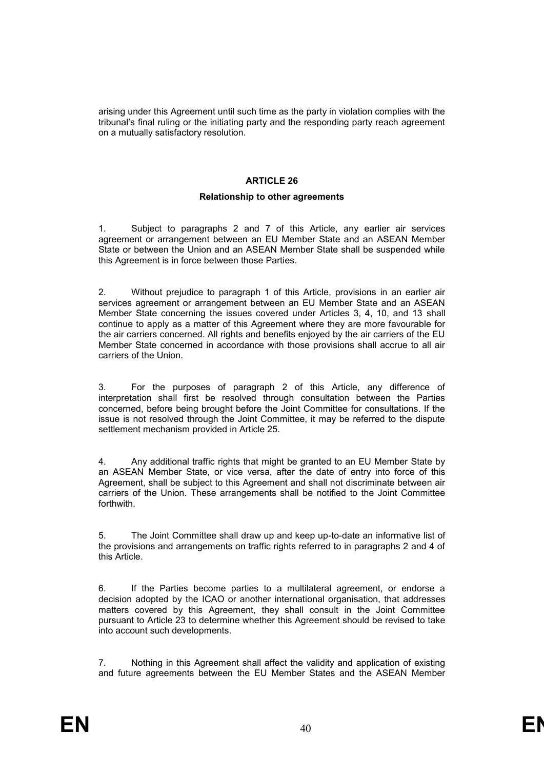arising under this Agreement until such time as the party in violation complies with the tribunal's final ruling or the initiating party and the responding party reach agreement on a mutually satisfactory resolution.

# **ARTICLE 26**

# **Relationship to other agreements**

1. Subject to paragraphs 2 and 7 of this Article, any earlier air services agreement or arrangement between an EU Member State and an ASEAN Member State or between the Union and an ASEAN Member State shall be suspended while this Agreement is in force between those Parties.

2. Without prejudice to paragraph 1 of this Article, provisions in an earlier air services agreement or arrangement between an EU Member State and an ASEAN Member State concerning the issues covered under Articles 3, 4, 10, and 13 shall continue to apply as a matter of this Agreement where they are more favourable for the air carriers concerned. All rights and benefits enjoyed by the air carriers of the EU Member State concerned in accordance with those provisions shall accrue to all air carriers of the Union.

3. For the purposes of paragraph 2 of this Article, any difference of interpretation shall first be resolved through consultation between the Parties concerned, before being brought before the Joint Committee for consultations. If the issue is not resolved through the Joint Committee, it may be referred to the dispute settlement mechanism provided in Article 25.

4. Any additional traffic rights that might be granted to an EU Member State by an ASEAN Member State, or vice versa, after the date of entry into force of this Agreement, shall be subject to this Agreement and shall not discriminate between air carriers of the Union. These arrangements shall be notified to the Joint Committee forthwith.

5. The Joint Committee shall draw up and keep up-to-date an informative list of the provisions and arrangements on traffic rights referred to in paragraphs 2 and 4 of this Article.

6. If the Parties become parties to a multilateral agreement, or endorse a decision adopted by the ICAO or another international organisation, that addresses matters covered by this Agreement, they shall consult in the Joint Committee pursuant to Article 23 to determine whether this Agreement should be revised to take into account such developments.

7. Nothing in this Agreement shall affect the validity and application of existing and future agreements between the EU Member States and the ASEAN Member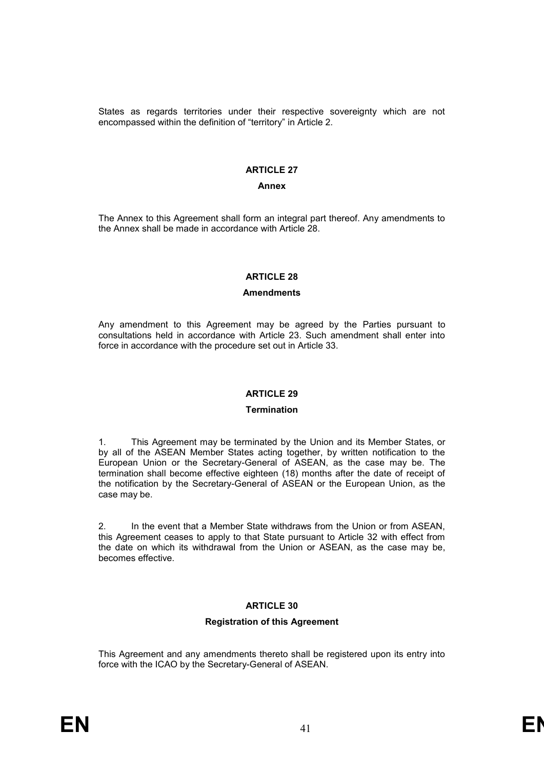States as regards territories under their respective sovereignty which are not encompassed within the definition of "territory" in Article 2.

# **ARTICLE 27**

#### **Annex**

The Annex to this Agreement shall form an integral part thereof. Any amendments to the Annex shall be made in accordance with Article 28.

#### **ARTICLE 28**

#### **Amendments**

Any amendment to this Agreement may be agreed by the Parties pursuant to consultations held in accordance with Article 23. Such amendment shall enter into force in accordance with the procedure set out in Article 33.

# **ARTICLE 29**

#### **Termination**

1. This Agreement may be terminated by the Union and its Member States, or by all of the ASEAN Member States acting together, by written notification to the European Union or the Secretary-General of ASEAN, as the case may be. The termination shall become effective eighteen (18) months after the date of receipt of the notification by the Secretary-General of ASEAN or the European Union, as the case may be.

2. In the event that a Member State withdraws from the Union or from ASEAN, this Agreement ceases to apply to that State pursuant to Article 32 with effect from the date on which its withdrawal from the Union or ASEAN, as the case may be, becomes effective.

# **ARTICLE 30**

# **Registration of this Agreement**

This Agreement and any amendments thereto shall be registered upon its entry into force with the ICAO by the Secretary-General of ASEAN.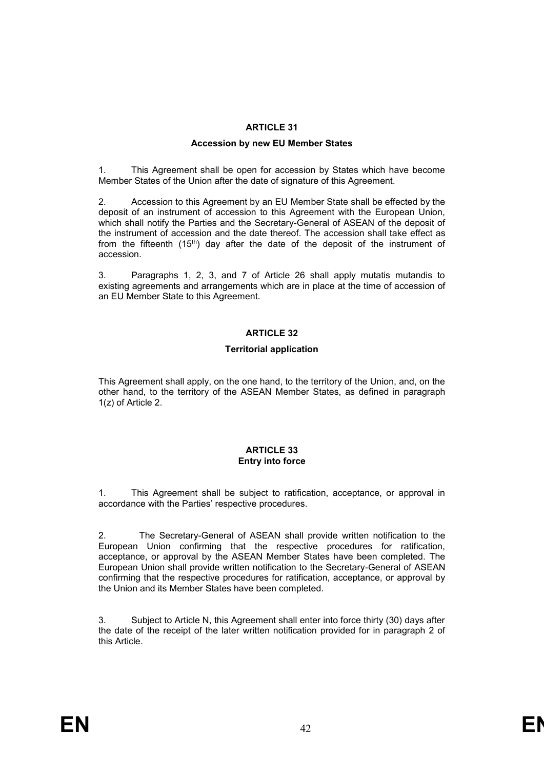# **ARTICLE 31**

# **Accession by new EU Member States**

1. This Agreement shall be open for accession by States which have become Member States of the Union after the date of signature of this Agreement.

2. Accession to this Agreement by an EU Member State shall be effected by the deposit of an instrument of accession to this Agreement with the European Union, which shall notify the Parties and the Secretary-General of ASEAN of the deposit of the instrument of accession and the date thereof. The accession shall take effect as from the fifteenth (15th) day after the date of the deposit of the instrument of accession.

3. Paragraphs 1, 2, 3, and 7 of Article 26 shall apply mutatis mutandis to existing agreements and arrangements which are in place at the time of accession of an EU Member State to this Agreement.

# **ARTICLE 32**

# **Territorial application**

This Agreement shall apply, on the one hand, to the territory of the Union, and, on the other hand, to the territory of the ASEAN Member States, as defined in paragraph 1(z) of Article 2.

#### **ARTICLE 33 Entry into force**

1. This Agreement shall be subject to ratification, acceptance, or approval in accordance with the Parties' respective procedures.

2. The Secretary-General of ASEAN shall provide written notification to the European Union confirming that the respective procedures for ratification, acceptance, or approval by the ASEAN Member States have been completed. The European Union shall provide written notification to the Secretary-General of ASEAN confirming that the respective procedures for ratification, acceptance, or approval by the Union and its Member States have been completed.

3. Subject to Article N, this Agreement shall enter into force thirty (30) days after the date of the receipt of the later written notification provided for in paragraph 2 of this Article.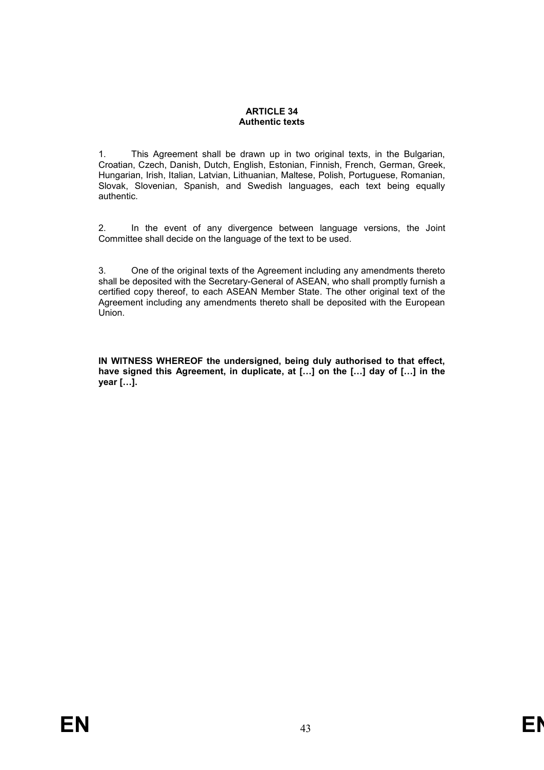# **ARTICLE 34 Authentic texts**

1. This Agreement shall be drawn up in two original texts, in the Bulgarian, Croatian, Czech, Danish, Dutch, English, Estonian, Finnish, French, German, Greek, Hungarian, Irish, Italian, Latvian, Lithuanian, Maltese, Polish, Portuguese, Romanian, Slovak, Slovenian, Spanish, and Swedish languages, each text being equally authentic.

2. In the event of any divergence between language versions, the Joint Committee shall decide on the language of the text to be used.

3. One of the original texts of the Agreement including any amendments thereto shall be deposited with the Secretary-General of ASEAN, who shall promptly furnish a certified copy thereof, to each ASEAN Member State. The other original text of the Agreement including any amendments thereto shall be deposited with the European Union.

**IN WITNESS WHEREOF the undersigned, being duly authorised to that effect,**  have signed this Agreement, in duplicate, at [...] on the [...] day of [...] in the **year […].**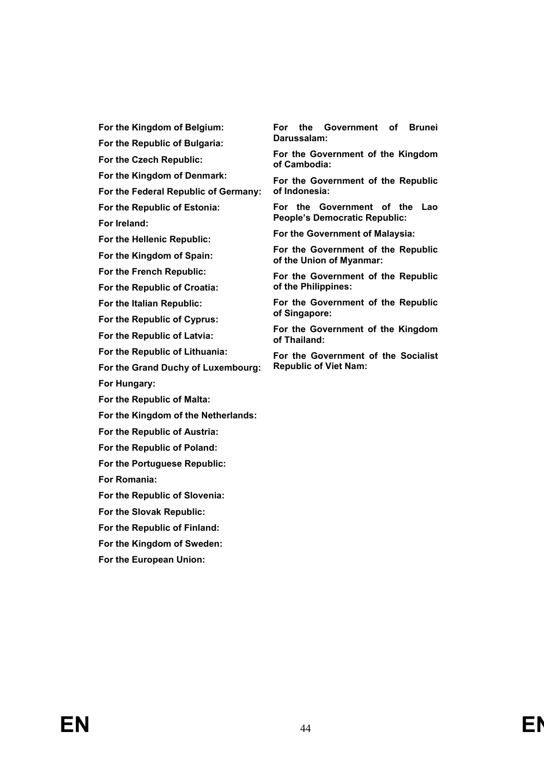**For the Kingdom of Belgium:**

**For the Republic of Bulgaria:**

**For the Czech Republic:**

**For the Kingdom of Denmark:**

**For the Federal Republic of Germany:**

**For the Republic of Estonia: For Ireland:**

**For the Hellenic Republic:**

**For the Kingdom of Spain:**

**For the French Republic:**

**For the Republic of Croatia:**

**For the Italian Republic:**

**For the Republic of Cyprus:**

**For the Republic of Latvia:**

**For the Republic of Lithuania:**

**For the Grand Duchy of Luxembourg:**

**For Hungary:**

**For the Republic of Malta:**

**For the Kingdom of the Netherlands:**

**For the Republic of Austria:**

**For the Republic of Poland:**

**For the Portuguese Republic:**

**For Romania:**

**For the Republic of Slovenia:**

- **For the Slovak Republic:**
- **For the Republic of Finland:**

**For the Kingdom of Sweden:**

**For the European Union:**

**For the Government of Brunei Darussalam:**

**For the Government of the Kingdom of Cambodia:**

**For the Government of the Republic of Indonesia:**

**For the Government of the Lao People's Democratic Republic:**

**For the Government of Malaysia:**

**For the Government of the Republic of the Union of Myanmar:**

**For the Government of the Republic of the Philippines:**

**For the Government of the Republic of Singapore:**

**For the Government of the Kingdom of Thailand:**

**For the Government of the Socialist Republic of Viet Nam:**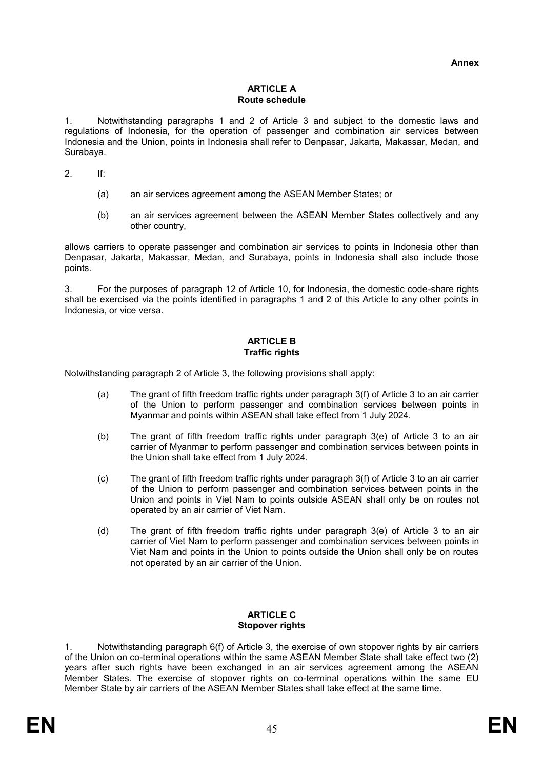#### **ARTICLE A Route schedule**

1. Notwithstanding paragraphs 1 and 2 of Article 3 and subject to the domestic laws and regulations of Indonesia, for the operation of passenger and combination air services between Indonesia and the Union, points in Indonesia shall refer to Denpasar, Jakarta, Makassar, Medan, and Surabaya.

2. If:

- (a) an air services agreement among the ASEAN Member States; or
- (b) an air services agreement between the ASEAN Member States collectively and any other country,

allows carriers to operate passenger and combination air services to points in Indonesia other than Denpasar, Jakarta, Makassar, Medan, and Surabaya, points in Indonesia shall also include those points.

3. For the purposes of paragraph 12 of Article 10, for Indonesia, the domestic code-share rights shall be exercised via the points identified in paragraphs 1 and 2 of this Article to any other points in Indonesia, or vice versa.

# **ARTICLE B Traffic rights**

Notwithstanding paragraph 2 of Article 3, the following provisions shall apply:

- (a) The grant of fifth freedom traffic rights under paragraph 3(f) of Article 3 to an air carrier of the Union to perform passenger and combination services between points in Myanmar and points within ASEAN shall take effect from 1 July 2024.
- (b) The grant of fifth freedom traffic rights under paragraph 3(e) of Article 3 to an air carrier of Myanmar to perform passenger and combination services between points in the Union shall take effect from 1 July 2024.
- (c) The grant of fifth freedom traffic rights under paragraph 3(f) of Article 3 to an air carrier of the Union to perform passenger and combination services between points in the Union and points in Viet Nam to points outside ASEAN shall only be on routes not operated by an air carrier of Viet Nam.
- (d) The grant of fifth freedom traffic rights under paragraph 3(e) of Article 3 to an air carrier of Viet Nam to perform passenger and combination services between points in Viet Nam and points in the Union to points outside the Union shall only be on routes not operated by an air carrier of the Union.

# **ARTICLE C Stopover rights**

1. Notwithstanding paragraph 6(f) of Article 3, the exercise of own stopover rights by air carriers of the Union on co-terminal operations within the same ASEAN Member State shall take effect two (2) years after such rights have been exchanged in an air services agreement among the ASEAN Member States. The exercise of stopover rights on co-terminal operations within the same EU Member State by air carriers of the ASEAN Member States shall take effect at the same time.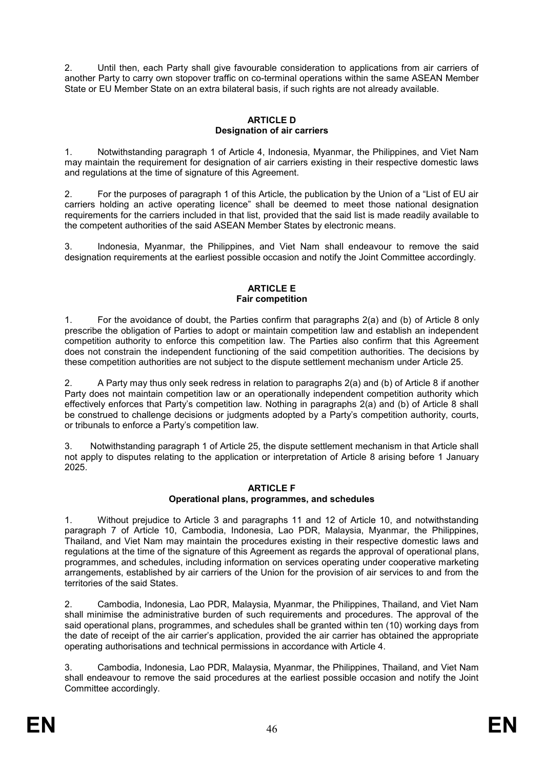2. Until then, each Party shall give favourable consideration to applications from air carriers of another Party to carry own stopover traffic on co-terminal operations within the same ASEAN Member State or EU Member State on an extra bilateral basis, if such rights are not already available.

# **ARTICLE D Designation of air carriers**

1. Notwithstanding paragraph 1 of Article 4, Indonesia, Myanmar, the Philippines, and Viet Nam may maintain the requirement for designation of air carriers existing in their respective domestic laws and regulations at the time of signature of this Agreement.

2. For the purposes of paragraph 1 of this Article, the publication by the Union of a "List of EU air carriers holding an active operating licence" shall be deemed to meet those national designation requirements for the carriers included in that list, provided that the said list is made readily available to the competent authorities of the said ASEAN Member States by electronic means.

3. Indonesia, Myanmar, the Philippines, and Viet Nam shall endeavour to remove the said designation requirements at the earliest possible occasion and notify the Joint Committee accordingly.

# **ARTICLE F Fair competition**

1. For the avoidance of doubt, the Parties confirm that paragraphs 2(a) and (b) of Article 8 only prescribe the obligation of Parties to adopt or maintain competition law and establish an independent competition authority to enforce this competition law. The Parties also confirm that this Agreement does not constrain the independent functioning of the said competition authorities. The decisions by these competition authorities are not subject to the dispute settlement mechanism under Article 25.

2. A Party may thus only seek redress in relation to paragraphs 2(a) and (b) of Article 8 if another Party does not maintain competition law or an operationally independent competition authority which effectively enforces that Party's competition law. Nothing in paragraphs 2(a) and (b) of Article 8 shall be construed to challenge decisions or judgments adopted by a Party's competition authority, courts, or tribunals to enforce a Party's competition law.

3. Notwithstanding paragraph 1 of Article 25, the dispute settlement mechanism in that Article shall not apply to disputes relating to the application or interpretation of Article 8 arising before 1 January 2025.

# **ARTICLE F**

# **Operational plans, programmes, and schedules**

1. Without prejudice to Article 3 and paragraphs 11 and 12 of Article 10, and notwithstanding paragraph 7 of Article 10, Cambodia, Indonesia, Lao PDR, Malaysia, Myanmar, the Philippines, Thailand, and Viet Nam may maintain the procedures existing in their respective domestic laws and regulations at the time of the signature of this Agreement as regards the approval of operational plans, programmes, and schedules, including information on services operating under cooperative marketing arrangements, established by air carriers of the Union for the provision of air services to and from the territories of the said States.

2. Cambodia, Indonesia, Lao PDR, Malaysia, Myanmar, the Philippines, Thailand, and Viet Nam shall minimise the administrative burden of such requirements and procedures. The approval of the said operational plans, programmes, and schedules shall be granted within ten (10) working days from the date of receipt of the air carrier's application, provided the air carrier has obtained the appropriate operating authorisations and technical permissions in accordance with Article 4.

3. Cambodia, Indonesia, Lao PDR, Malaysia, Myanmar, the Philippines, Thailand, and Viet Nam shall endeavour to remove the said procedures at the earliest possible occasion and notify the Joint Committee accordingly.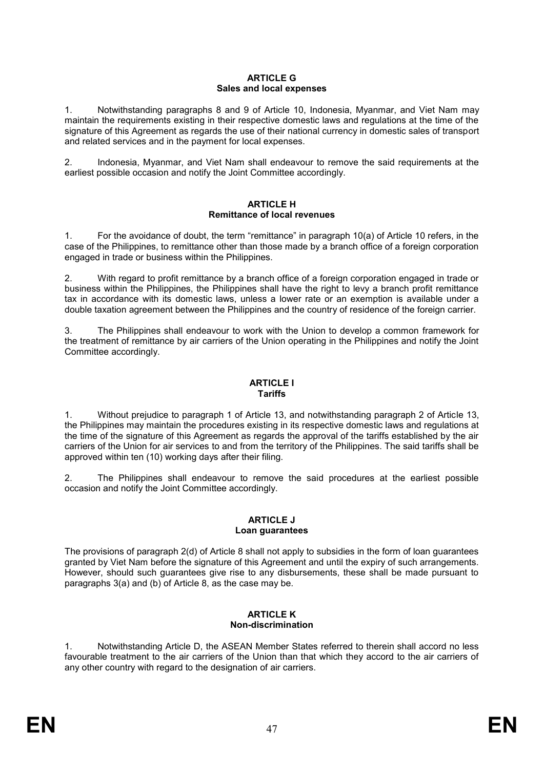# **ARTICLE G Sales and local expenses**

1. Notwithstanding paragraphs 8 and 9 of Article 10, Indonesia, Myanmar, and Viet Nam may maintain the requirements existing in their respective domestic laws and regulations at the time of the signature of this Agreement as regards the use of their national currency in domestic sales of transport and related services and in the payment for local expenses.

2. Indonesia, Myanmar, and Viet Nam shall endeavour to remove the said requirements at the earliest possible occasion and notify the Joint Committee accordingly.

#### **ARTICLE H Remittance of local revenues**

1. For the avoidance of doubt, the term "remittance" in paragraph 10(a) of Article 10 refers, in the case of the Philippines, to remittance other than those made by a branch office of a foreign corporation engaged in trade or business within the Philippines.

2. With regard to profit remittance by a branch office of a foreign corporation engaged in trade or business within the Philippines, the Philippines shall have the right to levy a branch profit remittance tax in accordance with its domestic laws, unless a lower rate or an exemption is available under a double taxation agreement between the Philippines and the country of residence of the foreign carrier.

3. The Philippines shall endeavour to work with the Union to develop a common framework for the treatment of remittance by air carriers of the Union operating in the Philippines and notify the Joint Committee accordingly.

#### **ARTICLE I Tariffs**

1. Without prejudice to paragraph 1 of Article 13, and notwithstanding paragraph 2 of Article 13, the Philippines may maintain the procedures existing in its respective domestic laws and regulations at the time of the signature of this Agreement as regards the approval of the tariffs established by the air carriers of the Union for air services to and from the territory of the Philippines. The said tariffs shall be approved within ten (10) working days after their filing.

2. The Philippines shall endeavour to remove the said procedures at the earliest possible occasion and notify the Joint Committee accordingly.

#### **ARTICLE J Loan guarantees**

The provisions of paragraph 2(d) of Article 8 shall not apply to subsidies in the form of loan guarantees granted by Viet Nam before the signature of this Agreement and until the expiry of such arrangements. However, should such guarantees give rise to any disbursements, these shall be made pursuant to paragraphs 3(a) and (b) of Article 8, as the case may be.

# **ARTICLE K Non-discrimination**

1. Notwithstanding Article D, the ASEAN Member States referred to therein shall accord no less favourable treatment to the air carriers of the Union than that which they accord to the air carriers of any other country with regard to the designation of air carriers.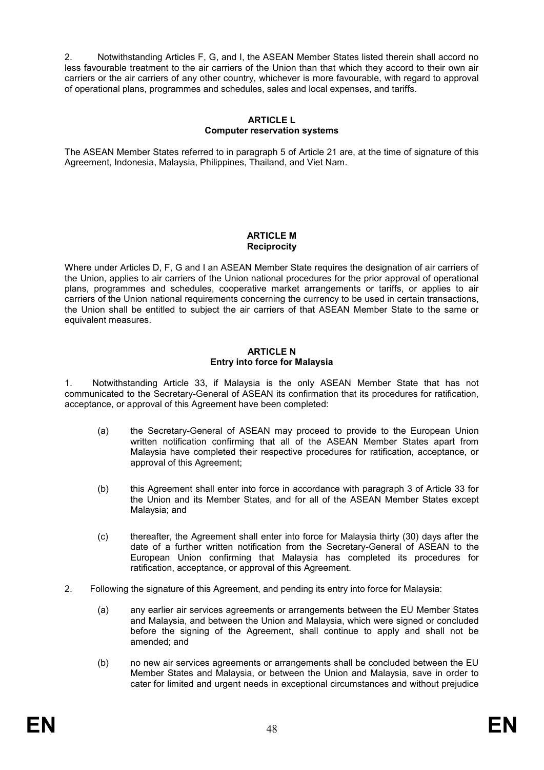2. Notwithstanding Articles F, G, and I, the ASEAN Member States listed therein shall accord no less favourable treatment to the air carriers of the Union than that which they accord to their own air carriers or the air carriers of any other country, whichever is more favourable, with regard to approval of operational plans, programmes and schedules, sales and local expenses, and tariffs.

# **ARTICLE L Computer reservation systems**

The ASEAN Member States referred to in paragraph 5 of Article 21 are, at the time of signature of this Agreement, Indonesia, Malaysia, Philippines, Thailand, and Viet Nam.

# **ARTICLE M Reciprocity**

Where under Articles D, F, G and I an ASEAN Member State requires the designation of air carriers of the Union, applies to air carriers of the Union national procedures for the prior approval of operational plans, programmes and schedules, cooperative market arrangements or tariffs, or applies to air carriers of the Union national requirements concerning the currency to be used in certain transactions, the Union shall be entitled to subject the air carriers of that ASEAN Member State to the same or equivalent measures.

#### **ARTICLE N Entry into force for Malaysia**

1. Notwithstanding Article 33, if Malaysia is the only ASEAN Member State that has not communicated to the Secretary-General of ASEAN its confirmation that its procedures for ratification, acceptance, or approval of this Agreement have been completed:

- (a) the Secretary-General of ASEAN may proceed to provide to the European Union written notification confirming that all of the ASEAN Member States apart from Malaysia have completed their respective procedures for ratification, acceptance, or approval of this Agreement;
- (b) this Agreement shall enter into force in accordance with paragraph 3 of Article 33 for the Union and its Member States, and for all of the ASEAN Member States except Malaysia; and
- (c) thereafter, the Agreement shall enter into force for Malaysia thirty (30) days after the date of a further written notification from the Secretary-General of ASEAN to the European Union confirming that Malaysia has completed its procedures for ratification, acceptance, or approval of this Agreement.
- 2. Following the signature of this Agreement, and pending its entry into force for Malaysia:
	- (a) any earlier air services agreements or arrangements between the EU Member States and Malaysia, and between the Union and Malaysia, which were signed or concluded before the signing of the Agreement, shall continue to apply and shall not be amended; and
	- (b) no new air services agreements or arrangements shall be concluded between the EU Member States and Malaysia, or between the Union and Malaysia, save in order to cater for limited and urgent needs in exceptional circumstances and without prejudice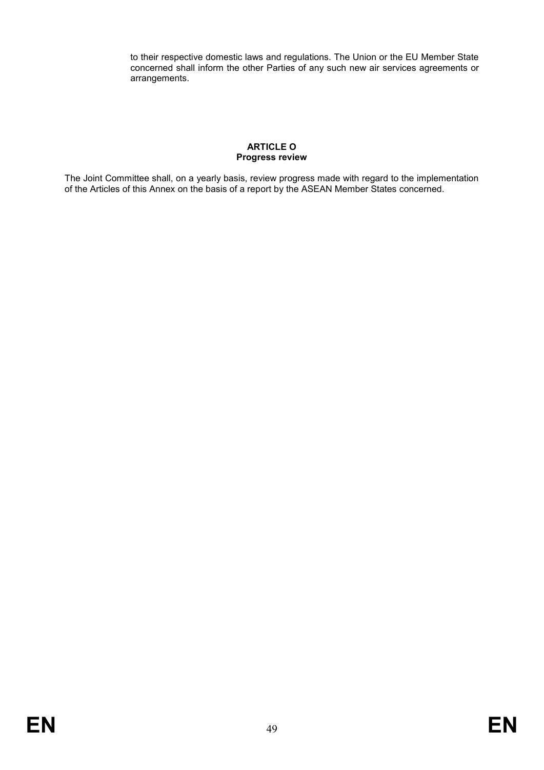to their respective domestic laws and regulations. The Union or the EU Member State concerned shall inform the other Parties of any such new air services agreements or arrangements.

# **ARTICLE O Progress review**

The Joint Committee shall, on a yearly basis, review progress made with regard to the implementation of the Articles of this Annex on the basis of a report by the ASEAN Member States concerned.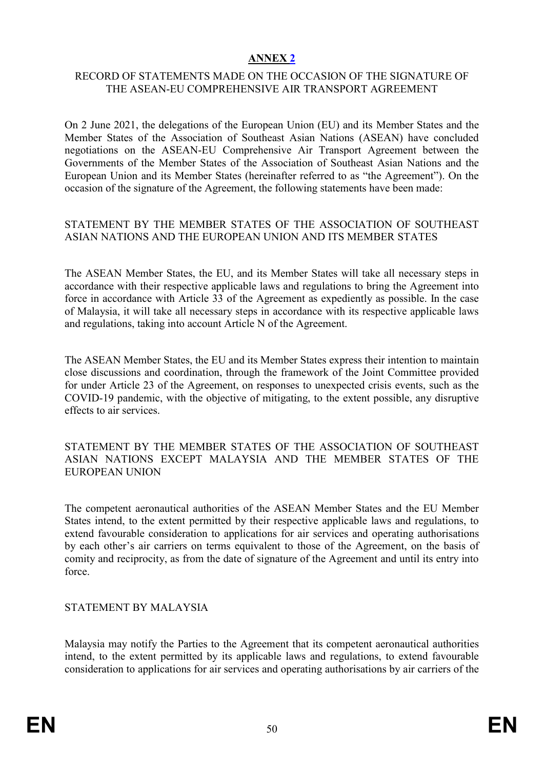# **ANNEX 2**

# RECORD OF STATEMENTS MADE ON THE OCCASION OF THE SIGNATURE OF THE ASEAN-EU COMPREHENSIVE AIR TRANSPORT AGREEMENT

On 2 June 2021, the delegations of the European Union (EU) and its Member States and the Member States of the Association of Southeast Asian Nations (ASEAN) have concluded negotiations on the ASEAN-EU Comprehensive Air Transport Agreement between the Governments of the Member States of the Association of Southeast Asian Nations and the European Union and its Member States (hereinafter referred to as "the Agreement"). On the occasion of the signature of the Agreement, the following statements have been made:

# STATEMENT BY THE MEMBER STATES OF THE ASSOCIATION OF SOUTHEAST ASIAN NATIONS AND THE EUROPEAN UNION AND ITS MEMBER STATES

The ASEAN Member States, the EU, and its Member States will take all necessary steps in accordance with their respective applicable laws and regulations to bring the Agreement into force in accordance with Article 33 of the Agreement as expediently as possible. In the case of Malaysia, it will take all necessary steps in accordance with its respective applicable laws and regulations, taking into account Article N of the Agreement.

The ASEAN Member States, the EU and its Member States express their intention to maintain close discussions and coordination, through the framework of the Joint Committee provided for under Article 23 of the Agreement, on responses to unexpected crisis events, such as the COVID-19 pandemic, with the objective of mitigating, to the extent possible, any disruptive effects to air services.

# STATEMENT BY THE MEMBER STATES OF THE ASSOCIATION OF SOUTHEAST ASIAN NATIONS EXCEPT MALAYSIA AND THE MEMBER STATES OF THE EUROPEAN UNION

The competent aeronautical authorities of the ASEAN Member States and the EU Member States intend, to the extent permitted by their respective applicable laws and regulations, to extend favourable consideration to applications for air services and operating authorisations by each other's air carriers on terms equivalent to those of the Agreement, on the basis of comity and reciprocity, as from the date of signature of the Agreement and until its entry into force.

# STATEMENT BY MALAYSIA

Malaysia may notify the Parties to the Agreement that its competent aeronautical authorities intend, to the extent permitted by its applicable laws and regulations, to extend favourable consideration to applications for air services and operating authorisations by air carriers of the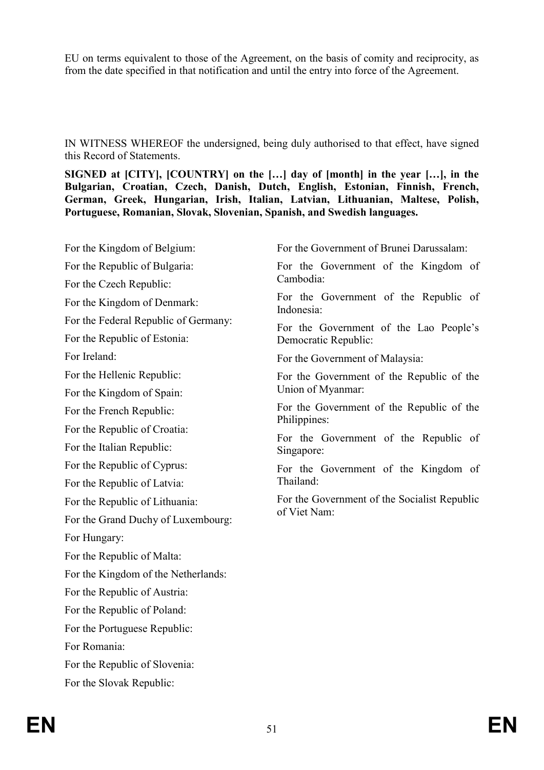EU on terms equivalent to those of the Agreement, on the basis of comity and reciprocity, as from the date specified in that notification and until the entry into force of the Agreement.

IN WITNESS WHEREOF the undersigned, being duly authorised to that effect, have signed this Record of Statements.

**SIGNED at [CITY], [COUNTRY] on the […] day of [month] in the year […], in the Bulgarian, Croatian, Czech, Danish, Dutch, English, Estonian, Finnish, French, German, Greek, Hungarian, Irish, Italian, Latvian, Lithuanian, Maltese, Polish, Portuguese, Romanian, Slovak, Slovenian, Spanish, and Swedish languages.**

For the Kingdom of Belgium: For the Republic of Bulgaria: For the Czech Republic: For the Kingdom of Denmark: For the Federal Republic of Germany: For the Republic of Estonia: For Ireland: For the Hellenic Republic: For the Kingdom of Spain: For the French Republic: For the Republic of Croatia: For the Italian Republic: For the Republic of Cyprus: For the Republic of Latvia: For the Republic of Lithuania: For the Grand Duchy of Luxembourg: For Hungary: For the Republic of Malta: For the Kingdom of the Netherlands: For the Republic of Austria: For the Republic of Poland: For the Portuguese Republic: For Romania: For the Republic of Slovenia: For the Slovak Republic: For the Government of Brunei Darussalam: For the Government of the Kingdom of Cambodia: For the Government of the Republic of Indonesia: For the Government of the Lao People's Democratic Republic: For the Government of Malaysia: For the Government of the Republic of the Union of Myanmar: For the Government of the Republic of the Philippines: For the Government of the Republic of Singapore: For the Government of the Kingdom of Thailand: For the Government of the Socialist Republic of Viet Nam: